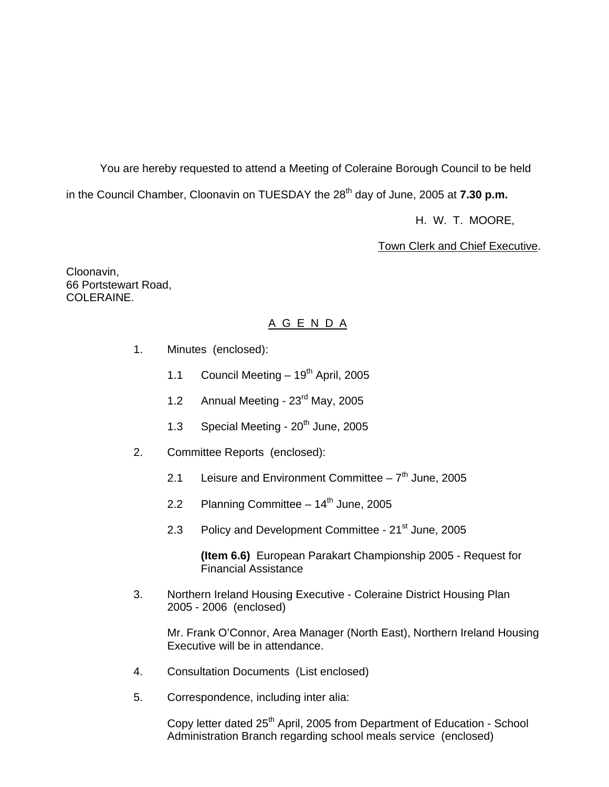You are hereby requested to attend a Meeting of Coleraine Borough Council to be held in the Council Chamber, Cloonavin on TUESDAY the 28<sup>th</sup> day of June, 2005 at **7.30 p.m.** 

H. W. T. MOORE,

Town Clerk and Chief Executive.

Cloonavin, 66 Portstewart Road, COLERAINE.

#### A G E N D A

- 1. Minutes (enclosed):
	- 1.1 Council Meeting  $-19^{th}$  April, 2005
	- 1.2 Annual Meeting 23<sup>rd</sup> May, 2005
	- 1.3 Special Meeting  $20<sup>th</sup>$  June, 2005
- 2. Committee Reports (enclosed):
	- 2.1 Leisure and Environment Committee  $-7<sup>th</sup>$  June, 2005
	- 2.2 Planning Committee  $-14<sup>th</sup>$  June, 2005
	- 2.3 Policy and Development Committee 21<sup>st</sup> June, 2005

 **(Item 6.6)** European Parakart Championship 2005 - Request for Financial Assistance

 3. Northern Ireland Housing Executive - Coleraine District Housing Plan 2005 - 2006 (enclosed)

Mr. Frank O'Connor, Area Manager (North East), Northern Ireland Housing Executive will be in attendance.

- 4. Consultation Documents (List enclosed)
- 5. Correspondence, including inter alia:

Copy letter dated 25<sup>th</sup> April, 2005 from Department of Education - School Administration Branch regarding school meals service (enclosed)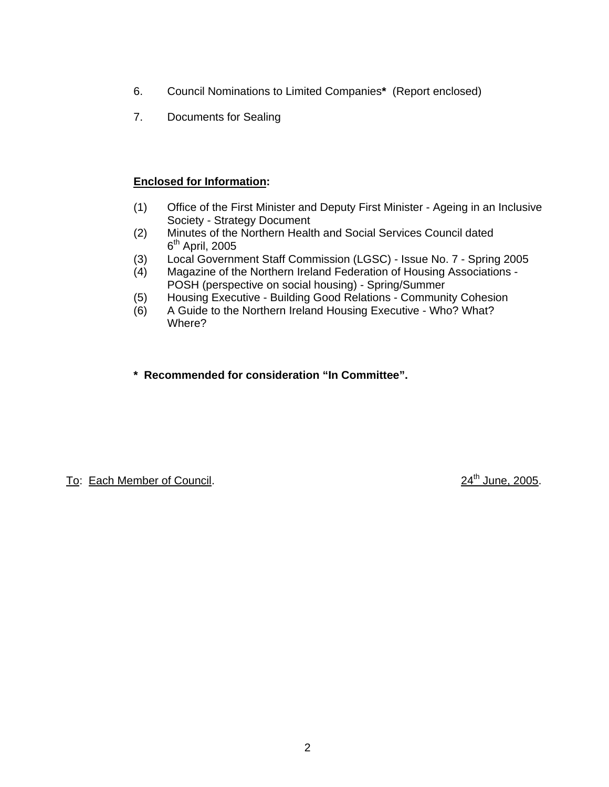- 6. Council Nominations to Limited Companies**\*** (Report enclosed)
- 7. Documents for Sealing

### **Enclosed for Information:**

- (1) Office of the First Minister and Deputy First Minister Ageing in an Inclusive Society - Strategy Document
- (2) Minutes of the Northern Health and Social Services Council dated  $6<sup>th</sup>$  April, 2005
- (3) Local Government Staff Commission (LGSC) Issue No. 7 Spring 2005
- (4) Magazine of the Northern Ireland Federation of Housing Associations POSH (perspective on social housing) - Spring/Summer
- (5) Housing Executive Building Good Relations Community Cohesion
- (6) A Guide to the Northern Ireland Housing Executive Who? What? Where?
- **\* Recommended for consideration "In Committee".**

To: Each Member of Council. 2005.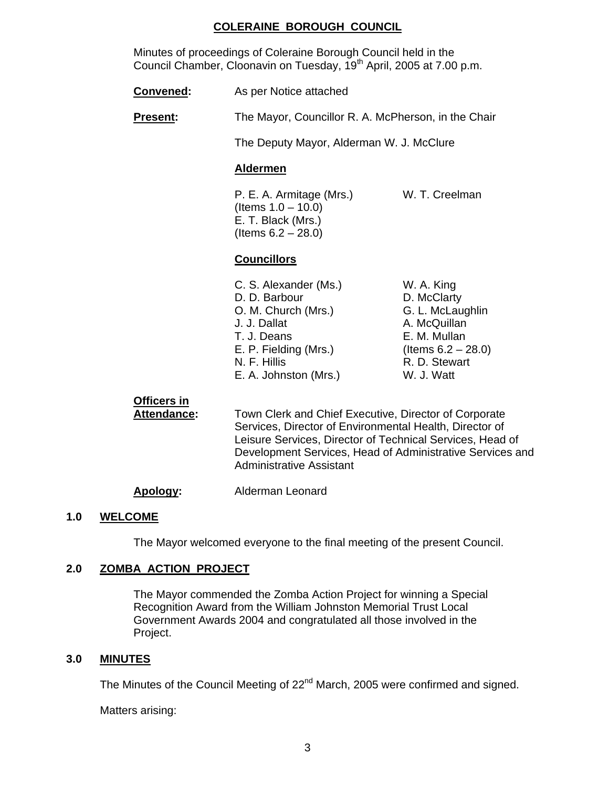### **COLERAINE BOROUGH COUNCIL**

 Minutes of proceedings of Coleraine Borough Council held in the Council Chamber, Cloonavin on Tuesday, 19<sup>th</sup> April, 2005 at 7.00 p.m.

**Convened:** As per Notice attached

**Present:** The Mayor, Councillor R. A. McPherson, in the Chair

The Deputy Mayor, Alderman W. J. McClure

### **Aldermen**

P. E. A. Armitage (Mrs.) W. T. Creelman (Items 1.0 – 10.0) E. T. Black (Mrs.) (Items  $6.2 - 28.0$ )

## **Councillors**

- C. S. Alexander (Ms.) W. A. King D. D. Barbour D. McClarty O. M. Church (Mrs.) G. L. McLaughlin J. J. Dallat A. McQuillan T. J. Deans **E. M. Mullan** E. P. Fielding (Mrs.) (Items  $6.2 - 28.0$ ) N. F. Hillis R. D. Stewart E. A. Johnston (Mrs.) W. J. Watt
- 

## **Officers in**

 **Attendance:** Town Clerk and Chief Executive, Director of Corporate Services, Director of Environmental Health, Director of Leisure Services, Director of Technical Services, Head of Development Services, Head of Administrative Services and Administrative Assistant

#### **Apology:** Alderman Leonard

#### **1.0 WELCOME**

The Mayor welcomed everyone to the final meeting of the present Council.

## **2.0 ZOMBA ACTION PROJECT**

The Mayor commended the Zomba Action Project for winning a Special Recognition Award from the William Johnston Memorial Trust Local Government Awards 2004 and congratulated all those involved in the Project.

#### **3.0 MINUTES**

The Minutes of the Council Meeting of 22<sup>nd</sup> March, 2005 were confirmed and signed.

Matters arising: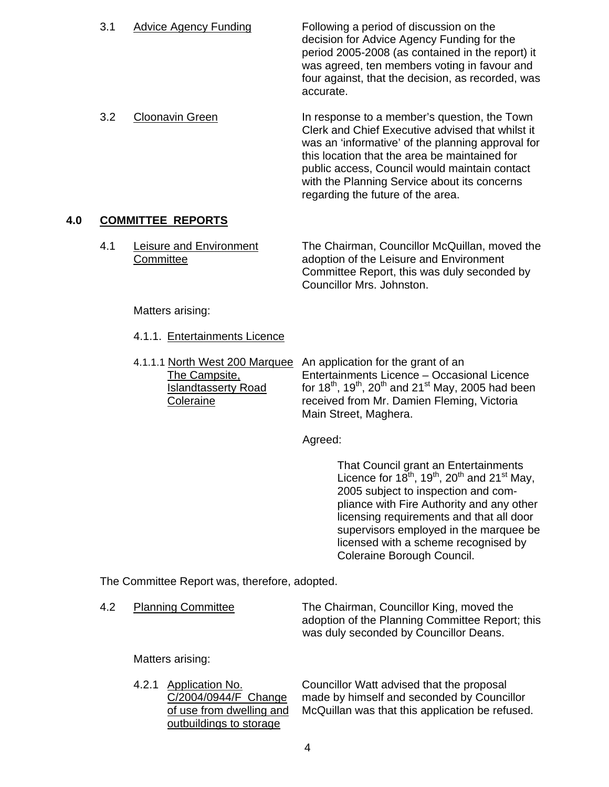3.1 Advice Agency Funding Following a period of discussion on the decision for Advice Agency Funding for the period 2005-2008 (as contained in the report) it was agreed, ten members voting in favour and four against, that the decision, as recorded, was accurate.

3.2 Cloonavin Green **In response to a member's question, the Town**  Clerk and Chief Executive advised that whilst it was an 'informative' of the planning approval for this location that the area be maintained for public access, Council would maintain contact with the Planning Service about its concerns regarding the future of the area.

## **4.0 COMMITTEE REPORTS**

4.1 Leisure and Environment The Chairman, Councillor McQuillan, moved the Committee adoption of the Leisure and Environment Committee Report, this was duly seconded by Councillor Mrs. Johnston.

Matters arising:

- 4.1.1. Entertainments Licence
- 4.1.1.1 North West 200 Marquee An application for the grant of an The Campsite, Entertainments Licence – Occasional Licence  $\overline{\text{Islandtasserty Road}}$  for 18<sup>th</sup>, 19<sup>th</sup>, 20<sup>th</sup> and 21<sup>st</sup> May, 2005 had been Coleraine received from Mr. Damien Fleming, Victoria Main Street, Maghera.

Agreed:

 That Council grant an Entertainments Licence for  $18^{th}$ ,  $19^{th}$ ,  $20^{th}$  and  $21^{st}$  May, 2005 subject to inspection and compliance with Fire Authority and any other licensing requirements and that all door supervisors employed in the marquee be licensed with a scheme recognised by Coleraine Borough Council.

The Committee Report was, therefore, adopted.

| 4.2 | <b>Planning Committee</b> | The Chairman, Councillor King, moved the        |
|-----|---------------------------|-------------------------------------------------|
|     |                           | adoption of the Planning Committee Report; this |
|     |                           | was duly seconded by Councillor Deans.          |

Matters arising:

outbuildings to storage

4.2.1 Application No. Councillor Watt advised that the proposal C/2004/0944/F Change made by himself and seconded by Counc made by himself and seconded by Councillor of use from dwelling and McQuillan was that this application be refused.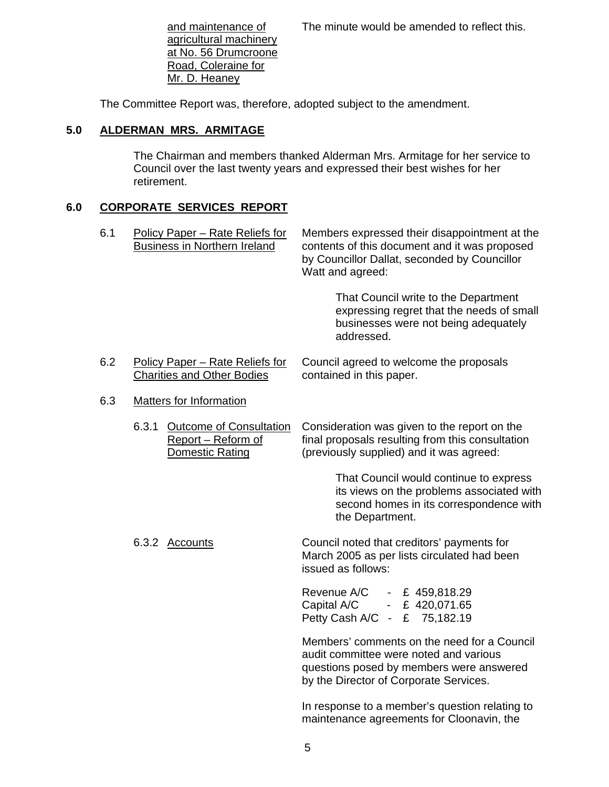and maintenance of The minute would be amended to reflect this.

 agricultural machinery at No. 56 Drumcroone Road, Coleraine for Mr. D. Heaney

The Committee Report was, therefore, adopted subject to the amendment.

## **5.0 ALDERMAN MRS. ARMITAGE**

The Chairman and members thanked Alderman Mrs. Armitage for her service to Council over the last twenty years and expressed their best wishes for her retirement.

## **6.0 CORPORATE SERVICES REPORT**

| 6.1 |       | Policy Paper - Rate Reliefs for<br><b>Business in Northern Ireland</b>         | Members expressed their disappointment at the<br>contents of this document and it was proposed<br>by Councillor Dallat, seconded by Councillor<br>Watt and agreed:          |  |
|-----|-------|--------------------------------------------------------------------------------|-----------------------------------------------------------------------------------------------------------------------------------------------------------------------------|--|
|     |       |                                                                                | That Council write to the Department<br>expressing regret that the needs of small<br>businesses were not being adequately<br>addressed.                                     |  |
| 6.2 |       | Policy Paper - Rate Reliefs for<br><b>Charities and Other Bodies</b>           | Council agreed to welcome the proposals<br>contained in this paper.                                                                                                         |  |
| 6.3 |       | <b>Matters for Information</b>                                                 |                                                                                                                                                                             |  |
|     | 6.3.1 | <b>Outcome of Consultation</b><br>Report - Reform of<br><b>Domestic Rating</b> | Consideration was given to the report on the<br>final proposals resulting from this consultation<br>(previously supplied) and it was agreed:                                |  |
|     |       |                                                                                | That Council would continue to express<br>its views on the problems associated with<br>second homes in its correspondence with<br>the Department.                           |  |
|     |       | 6.3.2 Accounts                                                                 | Council noted that creditors' payments for<br>March 2005 as per lists circulated had been<br>issued as follows:                                                             |  |
|     |       |                                                                                | Revenue A/C<br>- £ 459,818.29<br>Capital A/C - £ 420,071.65<br>Petty Cash A/C - £ 75,182.19                                                                                 |  |
|     |       |                                                                                | Members' comments on the need for a Council<br>audit committee were noted and various<br>questions posed by members were answered<br>by the Director of Corporate Services. |  |
|     |       |                                                                                | In response to a member's question relating to                                                                                                                              |  |

maintenance agreements for Cloonavin, the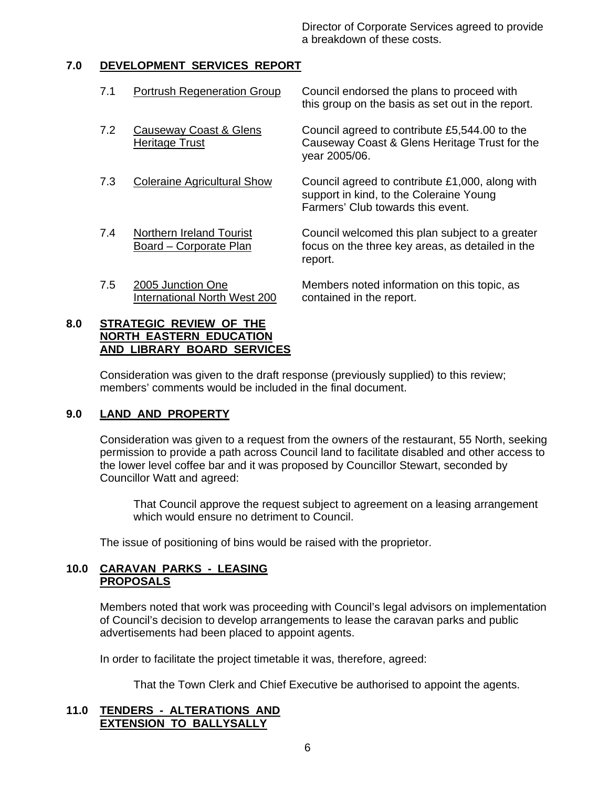Director of Corporate Services agreed to provide a breakdown of these costs.

## **7.0 DEVELOPMENT SERVICES REPORT**

| 7.1 | <b>Portrush Regeneration Group</b>                 | Council endorsed the plans to proceed with<br>this group on the basis as set out in the report.                                 |
|-----|----------------------------------------------------|---------------------------------------------------------------------------------------------------------------------------------|
| 7.2 | Causeway Coast & Glens<br><b>Heritage Trust</b>    | Council agreed to contribute £5,544.00 to the<br>Causeway Coast & Glens Heritage Trust for the<br>year 2005/06.                 |
| 7.3 | <b>Coleraine Agricultural Show</b>                 | Council agreed to contribute £1,000, along with<br>support in kind, to the Coleraine Young<br>Farmers' Club towards this event. |
| 7.4 | Northern Ireland Tourist<br>Board - Corporate Plan | Council welcomed this plan subject to a greater<br>focus on the three key areas, as detailed in the<br>report.                  |
| 7.5 | 2005 Junction One<br>International North West 200  | Members noted information on this topic, as<br>contained in the report.                                                         |

## **8.0 STRATEGIC REVIEW OF THE NORTH EASTERN EDUCATION AND LIBRARY BOARD SERVICES**

Consideration was given to the draft response (previously supplied) to this review; members' comments would be included in the final document.

#### **9.0 LAND AND PROPERTY**

Consideration was given to a request from the owners of the restaurant, 55 North, seeking permission to provide a path across Council land to facilitate disabled and other access to the lower level coffee bar and it was proposed by Councillor Stewart, seconded by Councillor Watt and agreed:

 That Council approve the request subject to agreement on a leasing arrangement which would ensure no detriment to Council.

The issue of positioning of bins would be raised with the proprietor.

## **10.0 CARAVAN PARKS - LEASING PROPOSALS**

Members noted that work was proceeding with Council's legal advisors on implementation of Council's decision to develop arrangements to lease the caravan parks and public advertisements had been placed to appoint agents.

In order to facilitate the project timetable it was, therefore, agreed:

That the Town Clerk and Chief Executive be authorised to appoint the agents.

## **11.0 TENDERS - ALTERATIONS AND EXTENSION TO BALLYSALLY**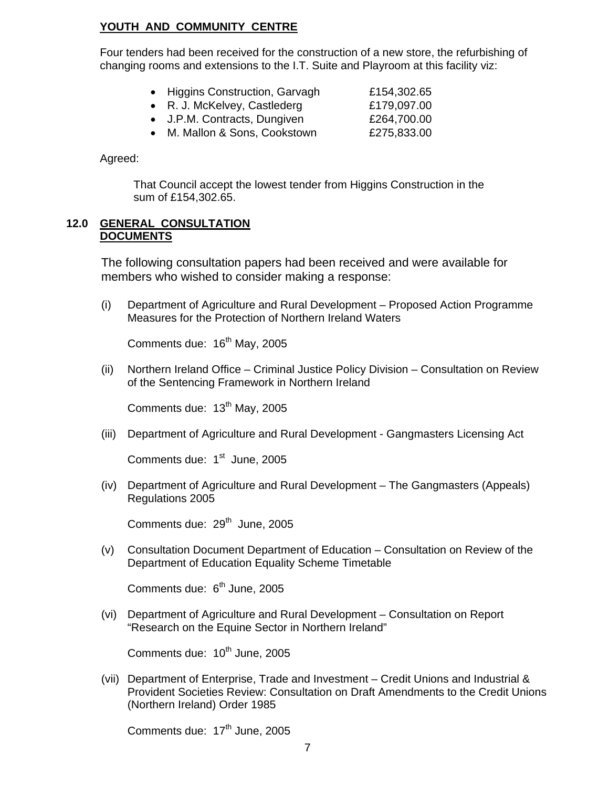## **YOUTH AND COMMUNITY CENTRE**

Four tenders had been received for the construction of a new store, the refurbishing of changing rooms and extensions to the I.T. Suite and Playroom at this facility viz:

- Higgins Construction, Garvagh **£154,302.65**
- R. J. McKelvey, Castlederg £179,097.00
- J.P.M. Contracts, Dungiven £264,700.00
- M. Mallon & Sons, Cookstown **£275,833.00**

Agreed:

 That Council accept the lowest tender from Higgins Construction in the sum of £154,302.65.

#### **12.0 GENERAL CONSULTATION DOCUMENTS**

The following consultation papers had been received and were available for members who wished to consider making a response:

(i) Department of Agriculture and Rural Development – Proposed Action Programme Measures for the Protection of Northern Ireland Waters

Comments due: 16<sup>th</sup> May, 2005

(ii) Northern Ireland Office – Criminal Justice Policy Division – Consultation on Review of the Sentencing Framework in Northern Ireland

Comments due: 13<sup>th</sup> May, 2005

(iii) Department of Agriculture and Rural Development - Gangmasters Licensing Act

Comments due: 1<sup>st</sup> June, 2005

(iv) Department of Agriculture and Rural Development – The Gangmasters (Appeals) Regulations 2005

Comments due: 29<sup>th</sup> June, 2005

(v) Consultation Document Department of Education – Consultation on Review of the Department of Education Equality Scheme Timetable

Comments due: 6<sup>th</sup> June, 2005

(vi) Department of Agriculture and Rural Development – Consultation on Report "Research on the Equine Sector in Northern Ireland"

Comments due:  $10<sup>th</sup>$  June, 2005

(vii) Department of Enterprise, Trade and Investment – Credit Unions and Industrial & Provident Societies Review: Consultation on Draft Amendments to the Credit Unions (Northern Ireland) Order 1985

Comments due:  $17<sup>th</sup>$  June, 2005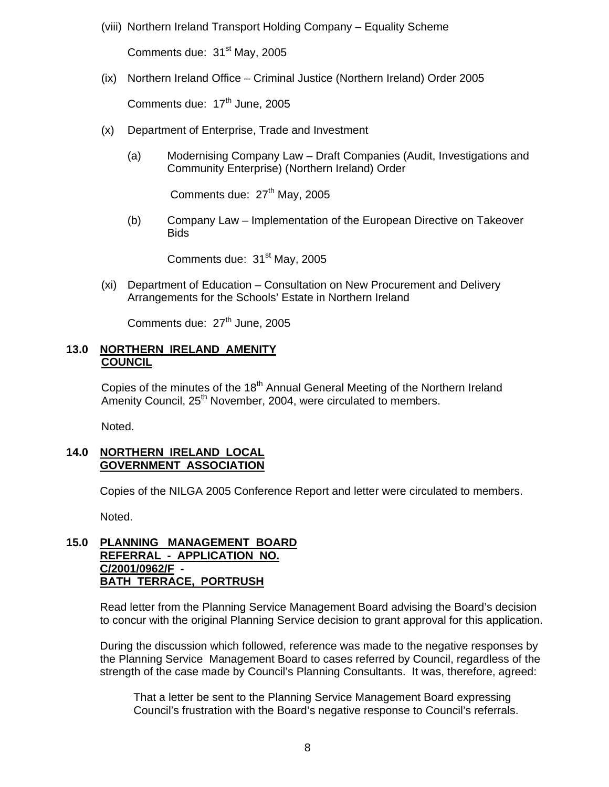(viii) Northern Ireland Transport Holding Company – Equality Scheme

Comments due: 31<sup>st</sup> May, 2005

(ix) Northern Ireland Office – Criminal Justice (Northern Ireland) Order 2005

Comments due:  $17<sup>th</sup>$  June, 2005

- (x) Department of Enterprise, Trade and Investment
	- (a) Modernising Company Law Draft Companies (Audit, Investigations and Community Enterprise) (Northern Ireland) Order

Comments due: 27<sup>th</sup> May, 2005

(b) Company Law – Implementation of the European Directive on Takeover Bids

Comments due: 31<sup>st</sup> May, 2005

(xi) Department of Education – Consultation on New Procurement and Delivery Arrangements for the Schools' Estate in Northern Ireland

Comments due:  $27<sup>th</sup>$  June, 2005

#### **13.0 NORTHERN IRELAND AMENITY COUNCIL**

Copies of the minutes of the 18<sup>th</sup> Annual General Meeting of the Northern Ireland Amenity Council, 25<sup>th</sup> November, 2004, were circulated to members.

Noted.

## **14.0 NORTHERN IRELAND LOCAL GOVERNMENT ASSOCIATION**

Copies of the NILGA 2005 Conference Report and letter were circulated to members.

Noted.

#### **15.0 PLANNING MANAGEMENT BOARD REFERRAL - APPLICATION NO. C/2001/0962/F - BATH TERRACE, PORTRUSH**

Read letter from the Planning Service Management Board advising the Board's decision to concur with the original Planning Service decision to grant approval for this application.

During the discussion which followed, reference was made to the negative responses by the Planning Service Management Board to cases referred by Council, regardless of the strength of the case made by Council's Planning Consultants. It was, therefore, agreed:

 That a letter be sent to the Planning Service Management Board expressing Council's frustration with the Board's negative response to Council's referrals.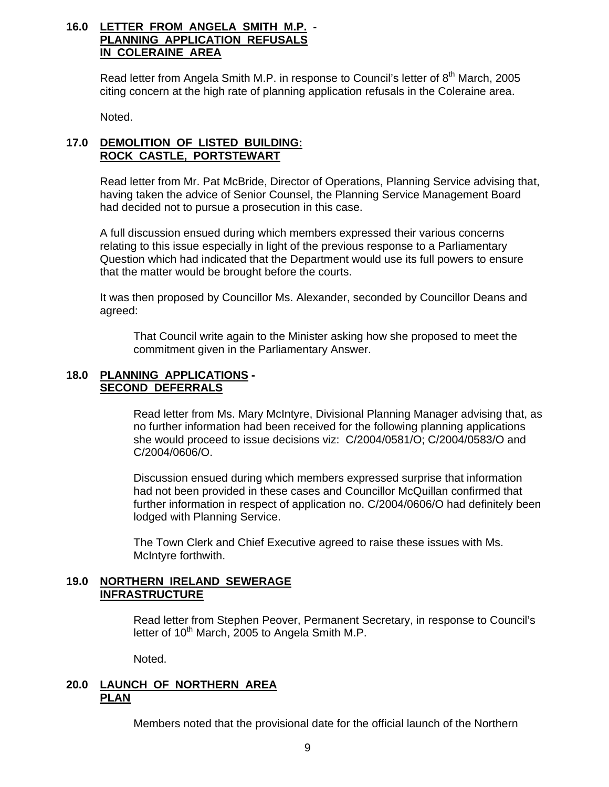### **16.0 LETTER FROM ANGELA SMITH M.P. - PLANNING APPLICATION REFUSALS IN COLERAINE AREA**

Read letter from Angela Smith M.P. in response to Council's letter of  $8<sup>th</sup>$  March. 2005 citing concern at the high rate of planning application refusals in the Coleraine area.

Noted.

## **17.0 DEMOLITION OF LISTED BUILDING: ROCK CASTLE, PORTSTEWART**

Read letter from Mr. Pat McBride, Director of Operations, Planning Service advising that, having taken the advice of Senior Counsel, the Planning Service Management Board had decided not to pursue a prosecution in this case.

A full discussion ensued during which members expressed their various concerns relating to this issue especially in light of the previous response to a Parliamentary Question which had indicated that the Department would use its full powers to ensure that the matter would be brought before the courts.

It was then proposed by Councillor Ms. Alexander, seconded by Councillor Deans and agreed:

 That Council write again to the Minister asking how she proposed to meet the commitment given in the Parliamentary Answer.

#### **18.0 PLANNING APPLICATIONS - SECOND DEFERRALS**

 Read letter from Ms. Mary McIntyre, Divisional Planning Manager advising that, as no further information had been received for the following planning applications she would proceed to issue decisions viz: C/2004/0581/O; C/2004/0583/O and C/2004/0606/O.

Discussion ensued during which members expressed surprise that information had not been provided in these cases and Councillor McQuillan confirmed that further information in respect of application no. C/2004/0606/O had definitely been lodged with Planning Service.

The Town Clerk and Chief Executive agreed to raise these issues with Ms. McIntyre forthwith.

## **19.0 NORTHERN IRELAND SEWERAGE INFRASTRUCTURE**

 Read letter from Stephen Peover, Permanent Secretary, in response to Council's letter of  $10<sup>th</sup>$  March, 2005 to Angela Smith M.P.

Noted.

#### **20.0 LAUNCH OF NORTHERN AREA PLAN**

Members noted that the provisional date for the official launch of the Northern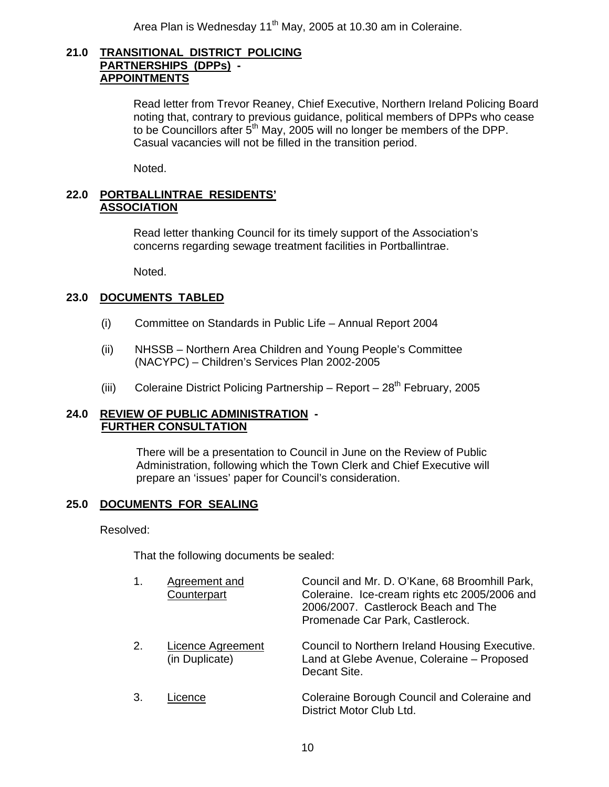Area Plan is Wednesday 11<sup>th</sup> May, 2005 at 10.30 am in Coleraine.

#### **21.0 TRANSITIONAL DISTRICT POLICING PARTNERSHIPS (DPPs) - APPOINTMENTS**

 Read letter from Trevor Reaney, Chief Executive, Northern Ireland Policing Board noting that, contrary to previous guidance, political members of DPPs who cease to be Councillors after  $5<sup>th</sup>$  May, 2005 will no longer be members of the DPP. Casual vacancies will not be filled in the transition period.

Noted.

#### **22.0 PORTBALLINTRAE RESIDENTS' ASSOCIATION**

 Read letter thanking Council for its timely support of the Association's concerns regarding sewage treatment facilities in Portballintrae.

Noted.

## **23.0 DOCUMENTS TABLED**

- (i) Committee on Standards in Public Life Annual Report 2004
- (ii) NHSSB Northern Area Children and Young People's Committee (NACYPC) – Children's Services Plan 2002-2005
- (iii) Coleraine District Policing Partnership Report  $28<sup>th</sup>$  February, 2005

#### **24.0 REVIEW OF PUBLIC ADMINISTRATION - FURTHER CONSULTATION**

 There will be a presentation to Council in June on the Review of Public Administration, following which the Town Clerk and Chief Executive will prepare an 'issues' paper for Council's consideration.

#### **25.0 DOCUMENTS FOR SEALING**

#### Resolved:

That the following documents be sealed:

| 1. | Agreement and<br>Counterpart        | Council and Mr. D. O'Kane, 68 Broomhill Park,<br>Coleraine. Ice-cream rights etc 2005/2006 and<br>2006/2007. Castlerock Beach and The<br>Promenade Car Park, Castlerock. |
|----|-------------------------------------|--------------------------------------------------------------------------------------------------------------------------------------------------------------------------|
| 2. | Licence Agreement<br>(in Duplicate) | Council to Northern Ireland Housing Executive.<br>Land at Glebe Avenue, Coleraine - Proposed<br>Decant Site.                                                             |
| 3. | Licence                             | Coleraine Borough Council and Coleraine and<br>District Motor Club Ltd.                                                                                                  |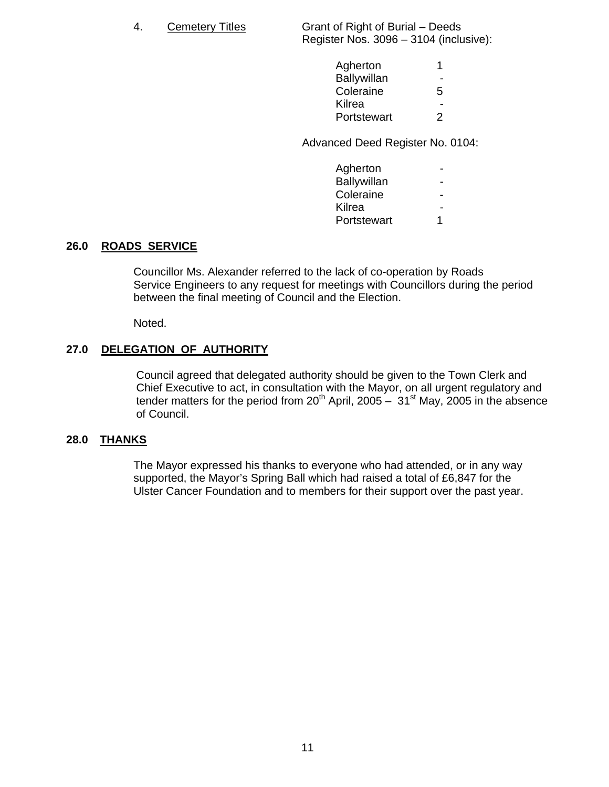4. Cemetery Titles Grant of Right of Burial – Deeds Register Nos. 3096 – 3104 (inclusive):

| Agherton    |                |
|-------------|----------------|
| Ballywillan | $\sim$         |
| Coleraine   | 5              |
| Kilrea      | $\blacksquare$ |
| Portstewart | $\mathcal{P}$  |
|             |                |

Advanced Deed Register No. 0104:

| Agherton    | $\sim$                   |
|-------------|--------------------------|
| Ballywillan | $\sim$                   |
| Coleraine   | $\sim$                   |
| Kilrea      | $\overline{\phantom{a}}$ |
| Portstewart |                          |
|             |                          |

#### **26.0 ROADS SERVICE**

Councillor Ms. Alexander referred to the lack of co-operation by Roads Service Engineers to any request for meetings with Councillors during the period between the final meeting of Council and the Election.

Noted.

## **27.0 DELEGATION OF AUTHORITY**

 Council agreed that delegated authority should be given to the Town Clerk and Chief Executive to act, in consultation with the Mayor, on all urgent regulatory and tender matters for the period from  $20<sup>th</sup>$  April, 2005 –  $31<sup>st</sup>$  May, 2005 in the absence of Council.

#### **28.0 THANKS**

 The Mayor expressed his thanks to everyone who had attended, or in any way supported, the Mayor's Spring Ball which had raised a total of £6,847 for the Ulster Cancer Foundation and to members for their support over the past year.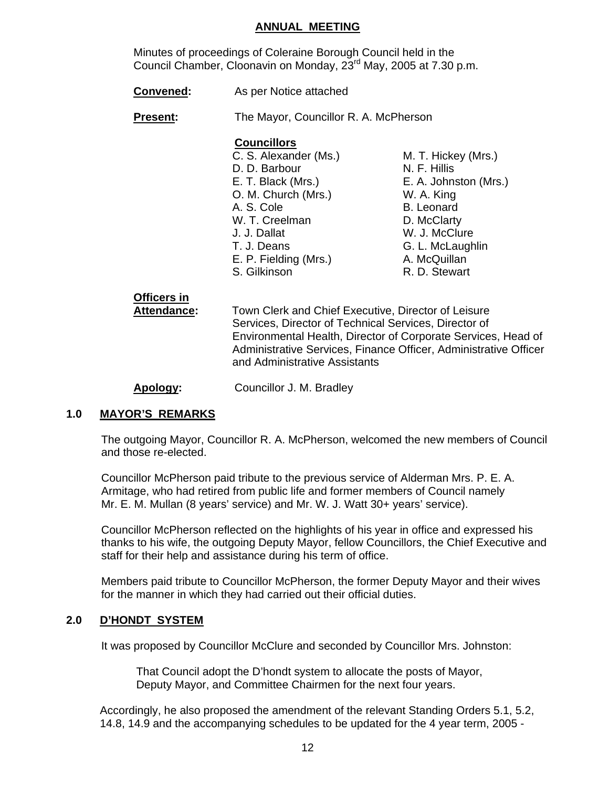#### **ANNUAL MEETING**

 Minutes of proceedings of Coleraine Borough Council held in the Council Chamber, Cloonavin on Monday, 23rd May, 2005 at 7.30 p.m.

**Convened:** As per Notice attached

**Present:** The Mayor, Councillor R. A. McPherson

#### **Councillors**

- C. S. Alexander (Ms.) M. T. Hickey (Mrs.) D. D. Barbour N. F. Hillis E. T. Black (Mrs.) E. A. Johnston (Mrs.) O. M. Church (Mrs.) W. A. King A. S. Cole B. Leonard W. T. Creelman D. McClarty J. J. Dallat W. J. McClure T. J. Deans G. L. McLaughlin E. P. Fielding (Mrs.) A. McQuillan S. Gilkinson **R. D. Stewart**
- 

# **Officers in**

 **Attendance:** Town Clerk and Chief Executive, Director of Leisure Services, Director of Technical Services, Director of Environmental Health, Director of Corporate Services, Head of Administrative Services, Finance Officer, Administrative Officer and Administrative Assistants

**Apology:** Councillor J. M. Bradley

## **1.0 MAYOR'S REMARKS**

The outgoing Mayor, Councillor R. A. McPherson, welcomed the new members of Council and those re-elected.

Councillor McPherson paid tribute to the previous service of Alderman Mrs. P. E. A. Armitage, who had retired from public life and former members of Council namely Mr. E. M. Mullan (8 years' service) and Mr. W. J. Watt 30+ years' service).

Councillor McPherson reflected on the highlights of his year in office and expressed his thanks to his wife, the outgoing Deputy Mayor, fellow Councillors, the Chief Executive and staff for their help and assistance during his term of office.

Members paid tribute to Councillor McPherson, the former Deputy Mayor and their wives for the manner in which they had carried out their official duties.

## **2.0 D'HONDT SYSTEM**

It was proposed by Councillor McClure and seconded by Councillor Mrs. Johnston:

That Council adopt the D'hondt system to allocate the posts of Mayor, Deputy Mayor, and Committee Chairmen for the next four years.

 Accordingly, he also proposed the amendment of the relevant Standing Orders 5.1, 5.2, 14.8, 14.9 and the accompanying schedules to be updated for the 4 year term, 2005 -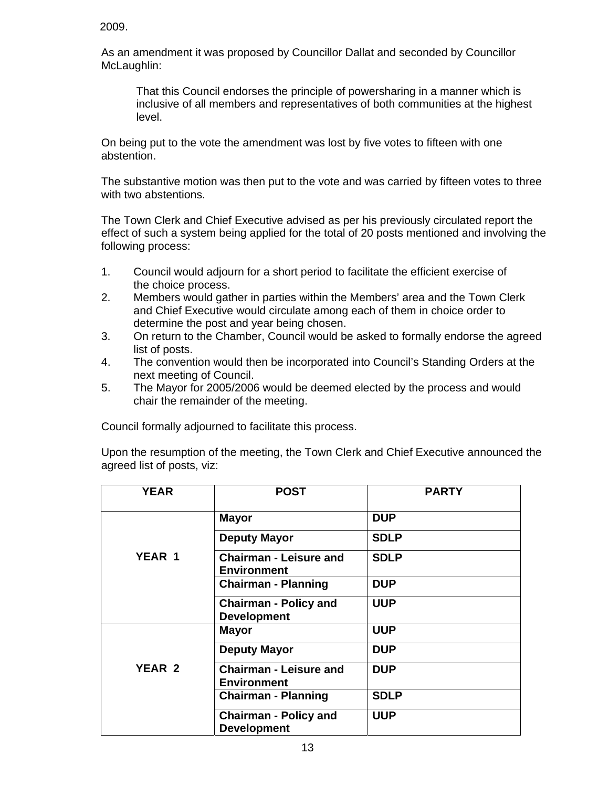2009.

As an amendment it was proposed by Councillor Dallat and seconded by Councillor McLaughlin:

That this Council endorses the principle of powersharing in a manner which is inclusive of all members and representatives of both communities at the highest level.

On being put to the vote the amendment was lost by five votes to fifteen with one abstention.

The substantive motion was then put to the vote and was carried by fifteen votes to three with two abstentions.

The Town Clerk and Chief Executive advised as per his previously circulated report the effect of such a system being applied for the total of 20 posts mentioned and involving the following process:

- 1. Council would adjourn for a short period to facilitate the efficient exercise of the choice process.
- 2. Members would gather in parties within the Members' area and the Town Clerk and Chief Executive would circulate among each of them in choice order to determine the post and year being chosen.
- 3. On return to the Chamber, Council would be asked to formally endorse the agreed list of posts.
- 4. The convention would then be incorporated into Council's Standing Orders at the next meeting of Council.
- 5. The Mayor for 2005/2006 would be deemed elected by the process and would chair the remainder of the meeting.

Council formally adjourned to facilitate this process.

Upon the resumption of the meeting, the Town Clerk and Chief Executive announced the agreed list of posts, viz:

| <b>YEAR</b>   | <b>POST</b>                                         | <b>PARTY</b> |
|---------------|-----------------------------------------------------|--------------|
|               | <b>Mayor</b>                                        | <b>DUP</b>   |
|               | <b>Deputy Mayor</b>                                 | <b>SDLP</b>  |
| <b>YEAR 1</b> | <b>Chairman - Leisure and</b><br><b>Environment</b> | <b>SDLP</b>  |
|               | <b>Chairman - Planning</b>                          | <b>DUP</b>   |
|               | <b>Chairman - Policy and</b><br><b>Development</b>  | <b>UUP</b>   |
|               | <b>Mayor</b>                                        | <b>UUP</b>   |
|               | <b>Deputy Mayor</b>                                 | <b>DUP</b>   |
| YEAR 2        | <b>Chairman - Leisure and</b><br><b>Environment</b> | <b>DUP</b>   |
|               | <b>Chairman - Planning</b>                          | <b>SDLP</b>  |
|               | <b>Chairman - Policy and</b><br><b>Development</b>  | <b>UUP</b>   |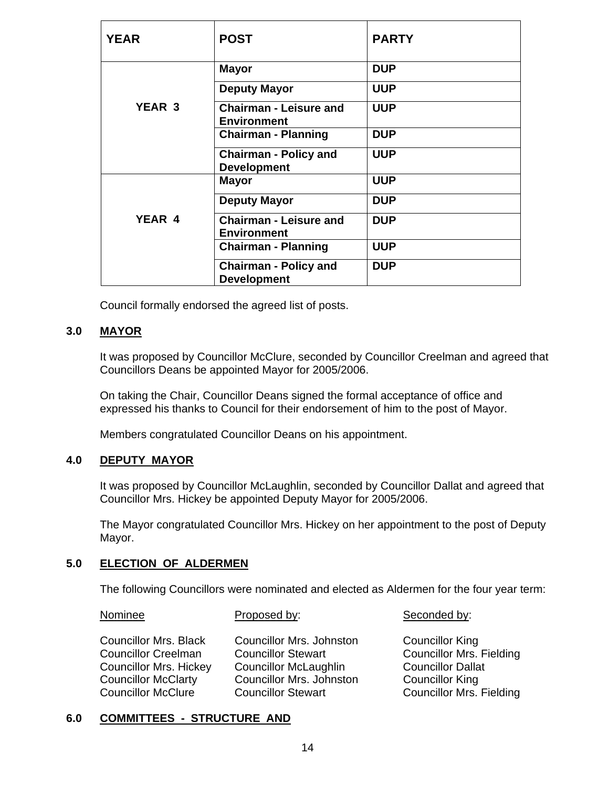| <b>YEAR</b> | <b>POST</b>                                         | <b>PARTY</b> |
|-------------|-----------------------------------------------------|--------------|
|             | <b>Mayor</b>                                        | <b>DUP</b>   |
|             | <b>Deputy Mayor</b>                                 | <b>UUP</b>   |
| YEAR 3      | <b>Chairman - Leisure and</b><br><b>Environment</b> | <b>UUP</b>   |
|             | <b>Chairman - Planning</b>                          | <b>DUP</b>   |
|             | <b>Chairman - Policy and</b><br><b>Development</b>  | <b>UUP</b>   |
|             | <b>Mayor</b>                                        | <b>UUP</b>   |
|             | <b>Deputy Mayor</b>                                 | <b>DUP</b>   |
| YEAR 4      | <b>Chairman - Leisure and</b><br><b>Environment</b> | <b>DUP</b>   |
|             | <b>Chairman - Planning</b>                          | <b>UUP</b>   |
|             | <b>Chairman - Policy and</b><br><b>Development</b>  | <b>DUP</b>   |

Council formally endorsed the agreed list of posts.

#### **3.0 MAYOR**

It was proposed by Councillor McClure, seconded by Councillor Creelman and agreed that Councillors Deans be appointed Mayor for 2005/2006.

On taking the Chair, Councillor Deans signed the formal acceptance of office and expressed his thanks to Council for their endorsement of him to the post of Mayor.

Members congratulated Councillor Deans on his appointment.

#### **4.0 DEPUTY MAYOR**

It was proposed by Councillor McLaughlin, seconded by Councillor Dallat and agreed that Councillor Mrs. Hickey be appointed Deputy Mayor for 2005/2006.

The Mayor congratulated Councillor Mrs. Hickey on her appointment to the post of Deputy Mayor.

#### **5.0 ELECTION OF ALDERMEN**

The following Councillors were nominated and elected as Aldermen for the four year term:

Nominee Proposed by: Seconded by:

Councillor Mrs. Black Councillor Mrs. Johnston Councillor King Councillor Creelman Councillor Stewart Councillor Mrs. Fielding Councillor Mrs. Hickey Councillor McLaughlin Councillor Dallat Councillor McClarty Councillor Mrs. Johnston Councillor King Councillor McClure Councillor Stewart Councillor Mrs. Fielding

#### **6.0 COMMITTEES - STRUCTURE AND**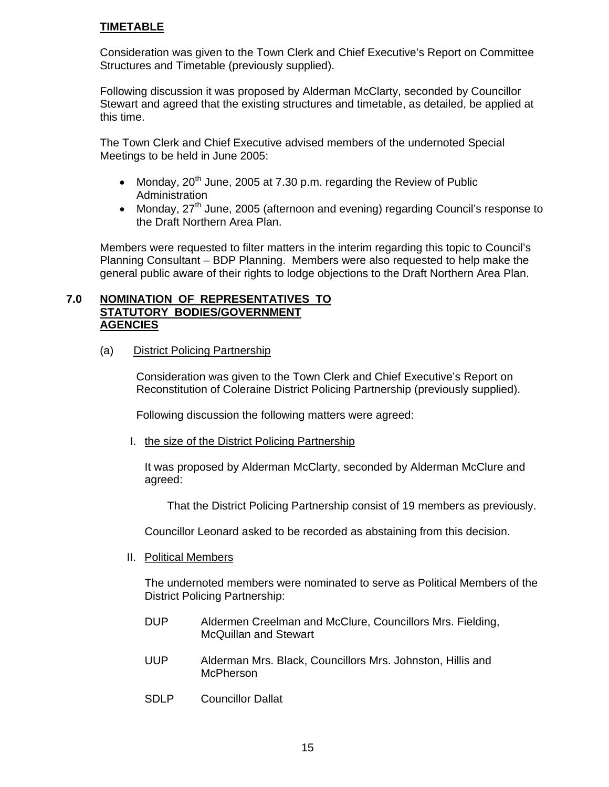### **TIMETABLE**

Consideration was given to the Town Clerk and Chief Executive's Report on Committee Structures and Timetable (previously supplied).

Following discussion it was proposed by Alderman McClarty, seconded by Councillor Stewart and agreed that the existing structures and timetable, as detailed, be applied at this time.

The Town Clerk and Chief Executive advised members of the undernoted Special Meetings to be held in June 2005:

- Monday,  $20^{th}$  June, 2005 at 7.30 p.m. regarding the Review of Public Administration
- Monday, 27<sup>th</sup> June, 2005 (afternoon and evening) regarding Council's response to the Draft Northern Area Plan.

Members were requested to filter matters in the interim regarding this topic to Council's Planning Consultant – BDP Planning. Members were also requested to help make the general public aware of their rights to lodge objections to the Draft Northern Area Plan.

#### **7.0 NOMINATION OF REPRESENTATIVES TO STATUTORY BODIES/GOVERNMENT AGENCIES**

(a) District Policing Partnership

Consideration was given to the Town Clerk and Chief Executive's Report on Reconstitution of Coleraine District Policing Partnership (previously supplied).

Following discussion the following matters were agreed:

I. the size of the District Policing Partnership

It was proposed by Alderman McClarty, seconded by Alderman McClure and agreed:

That the District Policing Partnership consist of 19 members as previously.

Councillor Leonard asked to be recorded as abstaining from this decision.

II. Political Members

The undernoted members were nominated to serve as Political Members of the District Policing Partnership:

- DUP Aldermen Creelman and McClure, Councillors Mrs. Fielding, McQuillan and Stewart
- UUP Alderman Mrs. Black, Councillors Mrs. Johnston, Hillis and McPherson
- SDLP Councillor Dallat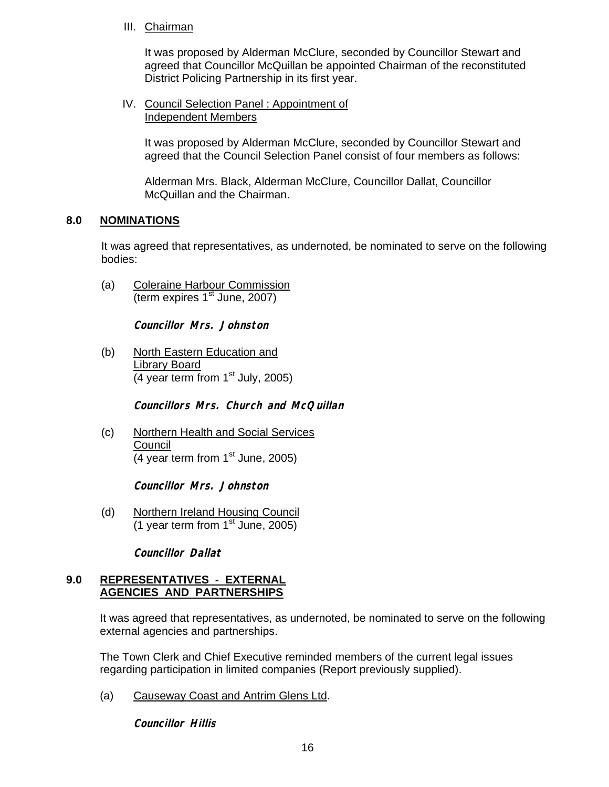### III. Chairman

It was proposed by Alderman McClure, seconded by Councillor Stewart and agreed that Councillor McQuillan be appointed Chairman of the reconstituted District Policing Partnership in its first year.

IV. Council Selection Panel : Appointment of Independent Members

It was proposed by Alderman McClure, seconded by Councillor Stewart and agreed that the Council Selection Panel consist of four members as follows:

Alderman Mrs. Black, Alderman McClure, Councillor Dallat, Councillor McQuillan and the Chairman.

## **8.0 NOMINATIONS**

It was agreed that representatives, as undernoted, be nominated to serve on the following bodies:

(a) Coleraine Harbour Commission  $\overline{(\text{term expires }1^{\text{st}})}$  June, 2007)

**Councillor Mrs. Johnston** 

(b) North Eastern Education and Library Board  $(4 \text{ year term from } 1^{\text{st}}$  July, 2005)

**Councillors Mrs. Church and McQuillan** 

(c) Northern Health and Social Services Council (4 year term from  $1<sup>st</sup>$  June, 2005)

**Councillor Mrs. Johnston** 

(d) Northern Ireland Housing Council  $(1$  year term from  $1<sup>st</sup>$  June, 2005)

**Councillor Dallat** 

#### **9.0 REPRESENTATIVES - EXTERNAL AGENCIES AND PARTNERSHIPS**

It was agreed that representatives, as undernoted, be nominated to serve on the following external agencies and partnerships.

The Town Clerk and Chief Executive reminded members of the current legal issues regarding participation in limited companies (Report previously supplied).

(a) Causeway Coast and Antrim Glens Ltd.

**Councillor Hillis**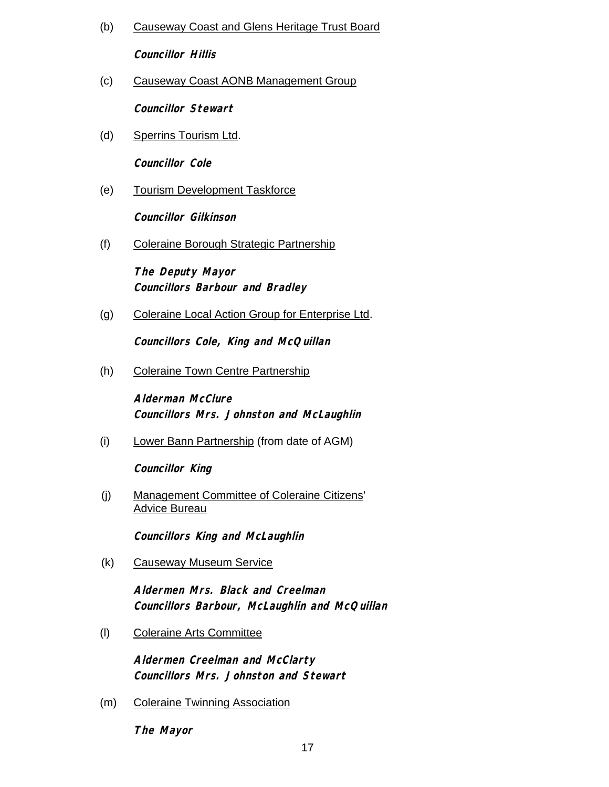(b) Causeway Coast and Glens Heritage Trust Board

**Councillor Hillis** 

(c) Causeway Coast AONB Management Group

**Councillor Stewart** 

(d) Sperrins Tourism Ltd.

**Councillor Cole** 

(e) Tourism Development Taskforce

**Councillor Gilkinson** 

(f) Coleraine Borough Strategic Partnership

**The Deputy Mayor Councillors Barbour and Bradley** 

(g) Coleraine Local Action Group for Enterprise Ltd.

**Councillors Cole, King and McQuillan** 

(h) Coleraine Town Centre Partnership

**Alderman McClure Councillors Mrs. Johnston and McLaughlin**

(i) Lower Bann Partnership (from date of AGM)

**Councillor King** 

(j) Management Committee of Coleraine Citizens' Advice Bureau

**Councillors King and McLaughlin** 

(k) Causeway Museum Service

**Aldermen Mrs. Black and Creelman Councillors Barbour, McLaughlin and McQuillan**

(l) Coleraine Arts Committee

**Aldermen Creelman and McClarty Councillors Mrs. Johnston and Stewart** 

(m) Coleraine Twinning Association

**The Mayor**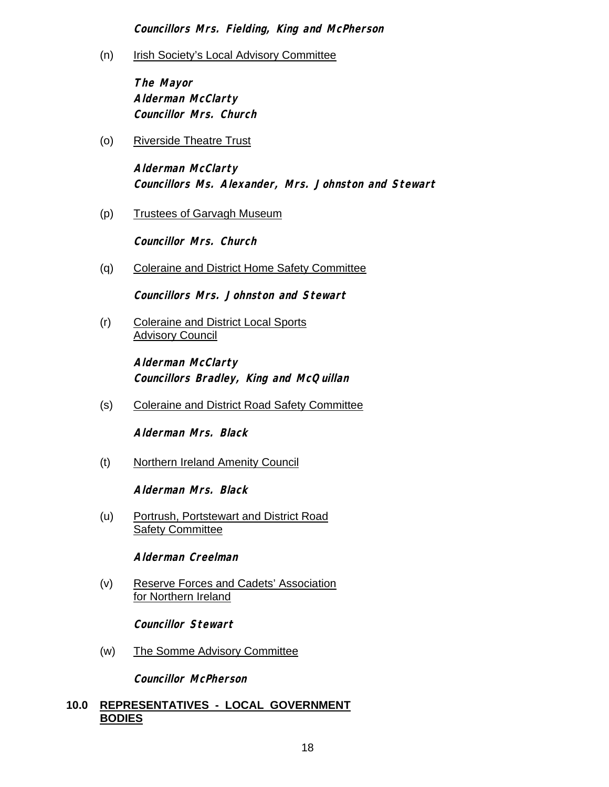**Councillors Mrs. Fielding, King and McPherson** 

(n) Irish Society's Local Advisory Committee

**The Mayor Alderman McClarty Councillor Mrs. Church** 

(o) Riverside Theatre Trust

**Alderman McClarty Councillors Ms. Alexander, Mrs. Johnston and Stewart** 

(p) Trustees of Garvagh Museum

**Councillor Mrs. Church** 

(q) Coleraine and District Home Safety Committee

**Councillors Mrs. Johnston and Stewart** 

(r) Coleraine and District Local Sports **Advisory Council** 

> **Alderman McClarty Councillors Bradley, King and McQuillan**

(s) Coleraine and District Road Safety Committee

**Alderman Mrs. Black** 

(t) Northern Ireland Amenity Council

**Alderman Mrs. Black** 

(u) Portrush, Portstewart and District Road **Safety Committee** 

**Alderman Creelman** 

(v) Reserve Forces and Cadets' Association for Northern Ireland

**Councillor Stewart** 

(w) The Somme Advisory Committee

**Councillor McPherson** 

## **10.0 REPRESENTATIVES - LOCAL GOVERNMENT BODIES**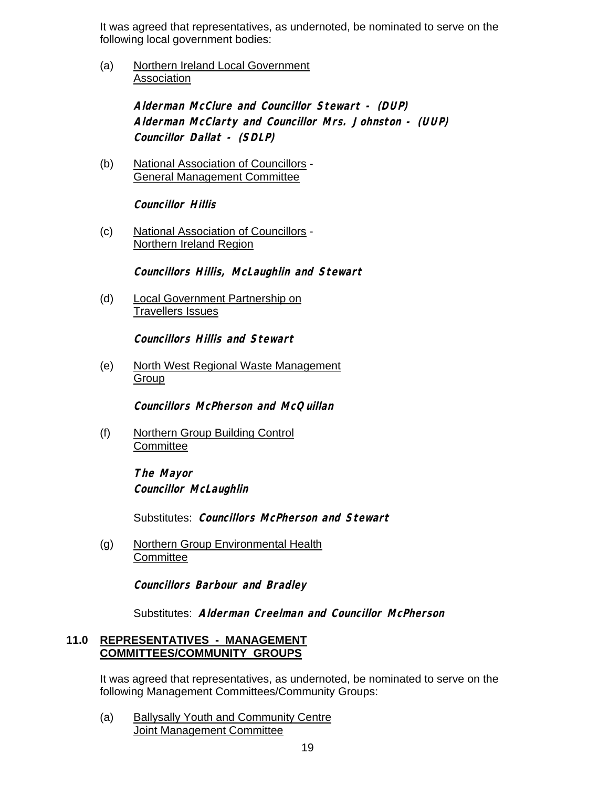It was agreed that representatives, as undernoted, be nominated to serve on the following local government bodies:

(a) Northern Ireland Local Government Association

> **Alderman McClure and Councillor Stewart - (DUP) Alderman McClarty and Councillor Mrs. Johnston - (UUP) Councillor Dallat - (SDLP)**

(b) National Association of Councillors - General Management Committee

**Councillor Hillis** 

(c) National Association of Councillors - Northern Ireland Region

**Councillors Hillis, McLaughlin and Stewart** 

(d) Local Government Partnership on Travellers Issues

**Councillors Hillis and Stewart** 

(e) North West Regional Waste Management Group

**Councillors McPherson and McQuillan** 

(f) Northern Group Building Control **Committee** 

> **The Mayor Councillor McLaughlin**

Substitutes: **Councillors McPherson and Stewart** 

(g) Northern Group Environmental Health **Committee** 

**Councillors Barbour and Bradley** 

Substitutes: **Alderman Creelman and Councillor McPherson**

#### **11.0 REPRESENTATIVES - MANAGEMENT COMMITTEES/COMMUNITY GROUPS**

It was agreed that representatives, as undernoted, be nominated to serve on the following Management Committees/Community Groups:

(a) Ballysally Youth and Community Centre Joint Management Committee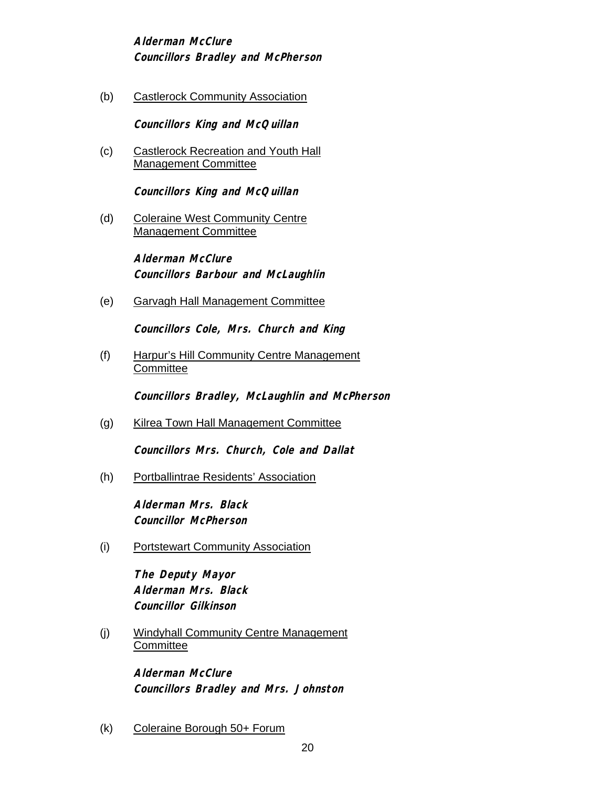**Alderman McClure Councillors Bradley and McPherson** 

(b) Castlerock Community Association

**Councillors King and McQuillan** 

(c) Castlerock Recreation and Youth Hall Management Committee

**Councillors King and McQuillan** 

(d) Coleraine West Community Centre Management Committee

> **Alderman McClure Councillors Barbour and McLaughlin**

(e) Garvagh Hall Management Committee

**Councillors Cole, Mrs. Church and King** 

(f) Harpur's Hill Community Centre Management **Committee** 

**Councillors Bradley, McLaughlin and McPherson** 

(g) Kilrea Town Hall Management Committee

**Councillors Mrs. Church, Cole and Dallat** 

(h) Portballintrae Residents' Association

**Alderman Mrs. Black Councillor McPherson**

(i) Portstewart Community Association

**The Deputy Mayor Alderman Mrs. Black Councillor Gilkinson** 

(j) Windyhall Community Centre Management **Committee** 

> **Alderman McClure Councillors Bradley and Mrs. Johnston**

(k) Coleraine Borough 50+ Forum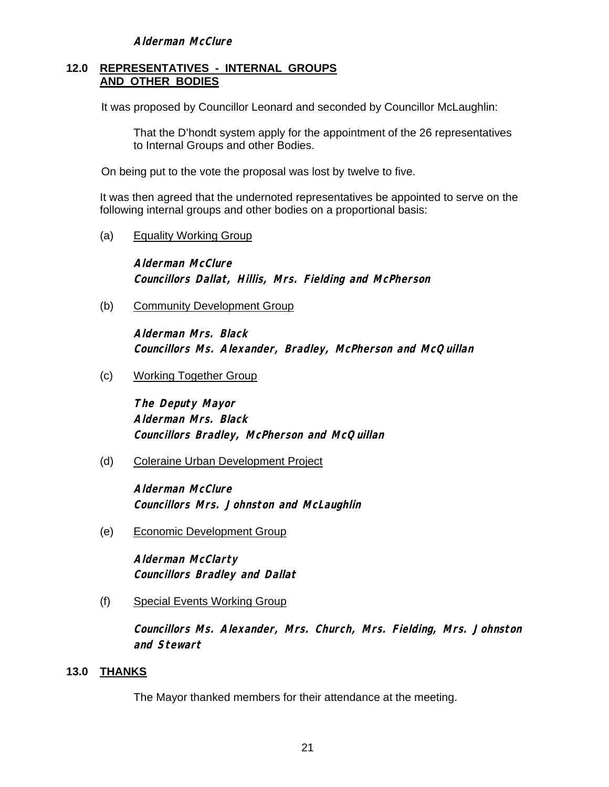#### **12.0 REPRESENTATIVES - INTERNAL GROUPS AND OTHER BODIES**

It was proposed by Councillor Leonard and seconded by Councillor McLaughlin:

 That the D'hondt system apply for the appointment of the 26 representatives to Internal Groups and other Bodies.

On being put to the vote the proposal was lost by twelve to five.

 It was then agreed that the undernoted representatives be appointed to serve on the following internal groups and other bodies on a proportional basis:

(a) Equality Working Group

**Alderman McClure Councillors Dallat, Hillis, Mrs. Fielding and McPherson**

(b) Community Development Group

**Alderman Mrs. Black Councillors Ms. Alexander, Bradley, McPherson and McQuillan**

(c) Working Together Group

**The Deputy Mayor Alderman Mrs. Black Councillors Bradley, McPherson and McQuillan** 

(d) Coleraine Urban Development Project

**Alderman McClure Councillors Mrs. Johnston and McLaughlin** 

(e) Economic Development Group

**Alderman McClarty Councillors Bradley and Dallat** 

(f) Special Events Working Group

**Councillors Ms. Alexander, Mrs. Church, Mrs. Fielding, Mrs. Johnston and Stewart** 

## **13.0 THANKS**

The Mayor thanked members for their attendance at the meeting.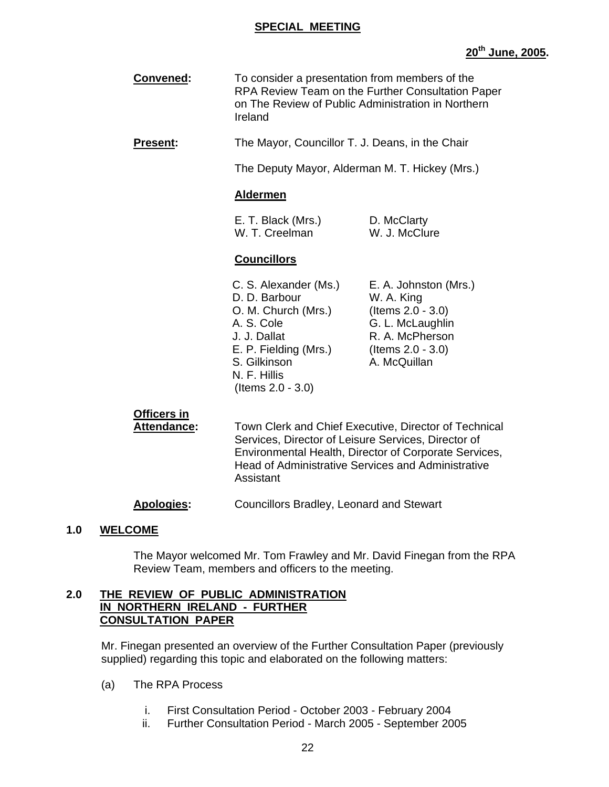#### **SPECIAL MEETING**

| Convened: | To consider a presentation from members of the<br>RPA Review Team on the Further Consultation Paper<br>on The Review of Public Administration in Northern |
|-----------|-----------------------------------------------------------------------------------------------------------------------------------------------------------|
|           | <b>Ireland</b>                                                                                                                                            |

**Present:** The Mayor, Councillor T. J. Deans, in the Chair

The Deputy Mayor, Alderman M. T. Hickey (Mrs.)

#### **Aldermen**

| E. T. Black (Mrs.) | D. McClarty   |
|--------------------|---------------|
| W. T. Creelman     | W. J. McClure |

#### **Councillors**

| C. S. Alexander (Ms.) | E. A. Johnston (Mrs.) |
|-----------------------|-----------------------|
| D. D. Barbour         | W. A. King            |
| O. M. Church (Mrs.)   | (Items $2.0 - 3.0$ )  |
| A. S. Cole            | G. L. McLaughlin      |
| J. J. Dallat          | R. A. McPherson       |
| E. P. Fielding (Mrs.) | (Items $2.0 - 3.0$ )  |
| S. Gilkinson          | A. McQuillan          |
| N. F. Hillis          |                       |
| (Items $2.0 - 3.0$ )  |                       |

## **Officers in**

 **Attendance:** Town Clerk and Chief Executive, Director of Technical Services, Director of Leisure Services, Director of Environmental Health, Director of Corporate Services, Head of Administrative Services and Administrative Assistant

**Apologies:** Councillors Bradley, Leonard and Stewart

#### **1.0 WELCOME**

 The Mayor welcomed Mr. Tom Frawley and Mr. David Finegan from the RPA Review Team, members and officers to the meeting.

#### **2.0 THE REVIEW OF PUBLIC ADMINISTRATION IN NORTHERN IRELAND - FURTHER CONSULTATION PAPER**

Mr. Finegan presented an overview of the Further Consultation Paper (previously supplied) regarding this topic and elaborated on the following matters:

- (a) The RPA Process
	- i. First Consultation Period October 2003 February 2004
	- ii. Further Consultation Period March 2005 September 2005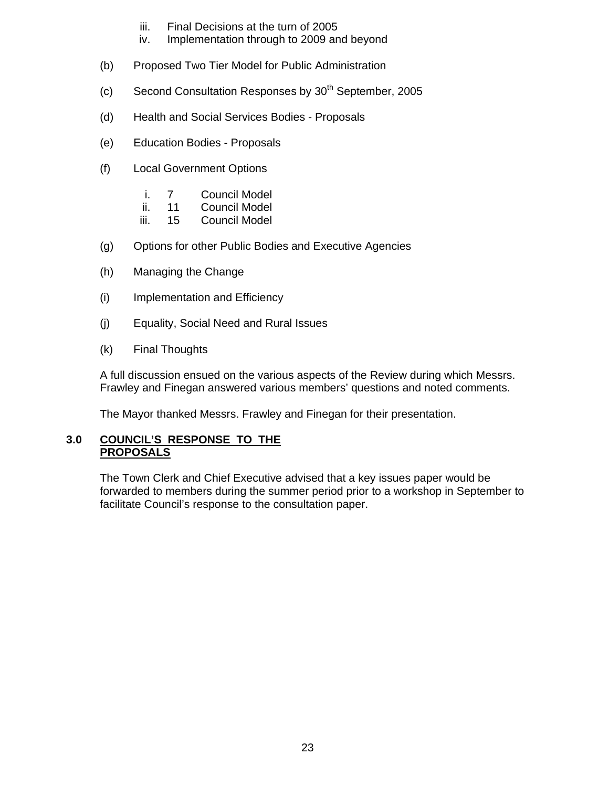- iii. Final Decisions at the turn of 2005
- iv. Implementation through to 2009 and beyond
- (b) Proposed Two Tier Model for Public Administration
- (c) Second Consultation Responses by  $30<sup>th</sup>$  September, 2005
- (d) Health and Social Services Bodies Proposals
- (e) Education Bodies Proposals
- (f) Local Government Options
	- i. 7 Council Model
	- ii. 11 Council Model
	- iii. 15 Council Model
- (g) Options for other Public Bodies and Executive Agencies
- (h) Managing the Change
- (i) Implementation and Efficiency
- (j) Equality, Social Need and Rural Issues
- (k) Final Thoughts

A full discussion ensued on the various aspects of the Review during which Messrs. Frawley and Finegan answered various members' questions and noted comments.

The Mayor thanked Messrs. Frawley and Finegan for their presentation.

#### **3.0 COUNCIL'S RESPONSE TO THE PROPOSALS**

 The Town Clerk and Chief Executive advised that a key issues paper would be forwarded to members during the summer period prior to a workshop in September to facilitate Council's response to the consultation paper.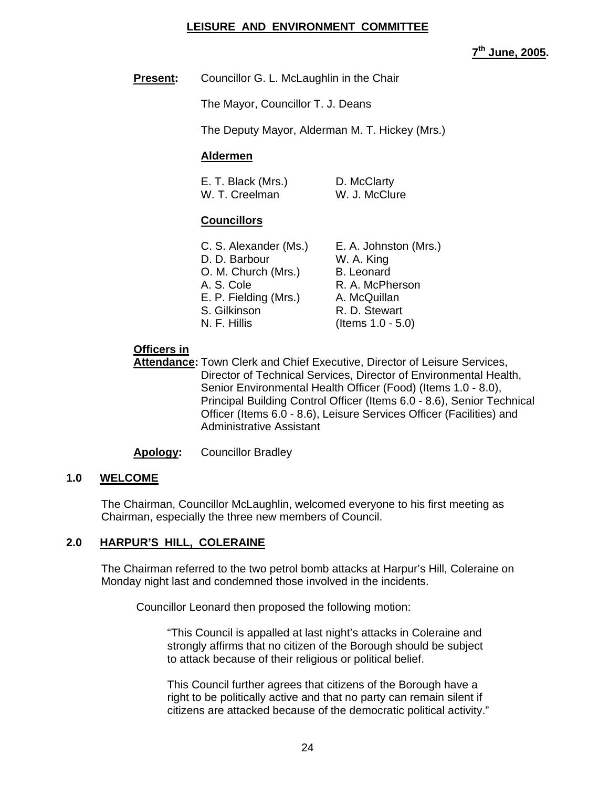### **LEISURE AND ENVIRONMENT COMMITTEE**

**7th June, 2005.** 

## **Present:** Councillor G. L. McLaughlin in the Chair

The Mayor, Councillor T. J. Deans

The Deputy Mayor, Alderman M. T. Hickey (Mrs.)

### **Aldermen**

| E. T. Black (Mrs.) | D. McClarty   |
|--------------------|---------------|
| W. T. Creelman     | W. J. McClure |

## **Councillors**

| O. M. Church (Mrs.)   | <b>B.</b> Leonard    |
|-----------------------|----------------------|
| A. S. Cole            | R. A. McPherson      |
| E. P. Fielding (Mrs.) | A. McQuillan         |
| S. Gilkinson          | R. D. Stewart        |
| N. F. Hillis          | (Items $1.0 - 5.0$ ) |

## **Officers in**

 **Attendance:** Town Clerk and Chief Executive, Director of Leisure Services, Director of Technical Services, Director of Environmental Health, Senior Environmental Health Officer (Food) (Items 1.0 - 8.0), Principal Building Control Officer (Items 6.0 - 8.6), Senior Technical Officer (Items 6.0 - 8.6), Leisure Services Officer (Facilities) and Administrative Assistant

#### **Apology:** Councillor Bradley

#### **1.0 WELCOME**

The Chairman, Councillor McLaughlin, welcomed everyone to his first meeting as Chairman, especially the three new members of Council.

## **2.0 HARPUR'S HILL, COLERAINE**

The Chairman referred to the two petrol bomb attacks at Harpur's Hill, Coleraine on Monday night last and condemned those involved in the incidents.

Councillor Leonard then proposed the following motion:

"This Council is appalled at last night's attacks in Coleraine and strongly affirms that no citizen of the Borough should be subject to attack because of their religious or political belief.

This Council further agrees that citizens of the Borough have a right to be politically active and that no party can remain silent if citizens are attacked because of the democratic political activity."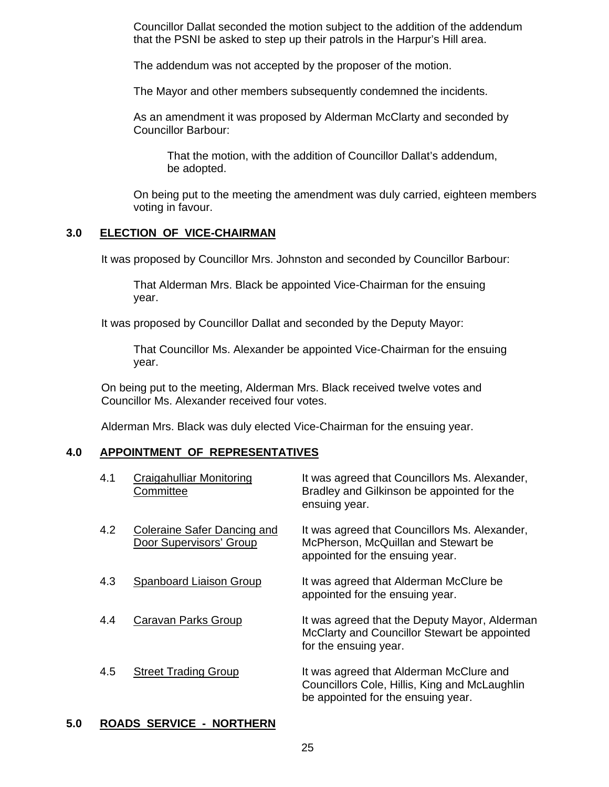Councillor Dallat seconded the motion subject to the addition of the addendum that the PSNI be asked to step up their patrols in the Harpur's Hill area.

The addendum was not accepted by the proposer of the motion.

The Mayor and other members subsequently condemned the incidents.

 As an amendment it was proposed by Alderman McClarty and seconded by Councillor Barbour:

 That the motion, with the addition of Councillor Dallat's addendum, be adopted.

 On being put to the meeting the amendment was duly carried, eighteen members voting in favour.

#### **3.0 ELECTION OF VICE-CHAIRMAN**

It was proposed by Councillor Mrs. Johnston and seconded by Councillor Barbour:

 That Alderman Mrs. Black be appointed Vice-Chairman for the ensuing year.

It was proposed by Councillor Dallat and seconded by the Deputy Mayor:

 That Councillor Ms. Alexander be appointed Vice-Chairman for the ensuing year.

On being put to the meeting, Alderman Mrs. Black received twelve votes and Councillor Ms. Alexander received four votes.

Alderman Mrs. Black was duly elected Vice-Chairman for the ensuing year.

#### **4.0 APPOINTMENT OF REPRESENTATIVES**

| 4.1 | Craigahulliar Monitoring<br>Committee                  | It was agreed that Councillors Ms. Alexander,<br>Bradley and Gilkinson be appointed for the<br>ensuing year.                   |
|-----|--------------------------------------------------------|--------------------------------------------------------------------------------------------------------------------------------|
| 4.2 | Coleraine Safer Dancing and<br>Door Supervisors' Group | It was agreed that Councillors Ms. Alexander,<br>McPherson, McQuillan and Stewart be<br>appointed for the ensuing year.        |
| 4.3 | Spanboard Liaison Group                                | It was agreed that Alderman McClure be<br>appointed for the ensuing year.                                                      |
| 4.4 | Caravan Parks Group                                    | It was agreed that the Deputy Mayor, Alderman<br>McClarty and Councillor Stewart be appointed<br>for the ensuing year.         |
| 4.5 | <b>Street Trading Group</b>                            | It was agreed that Alderman McClure and<br>Councillors Cole, Hillis, King and McLaughlin<br>be appointed for the ensuing year. |

#### **5.0 ROADS SERVICE - NORTHERN**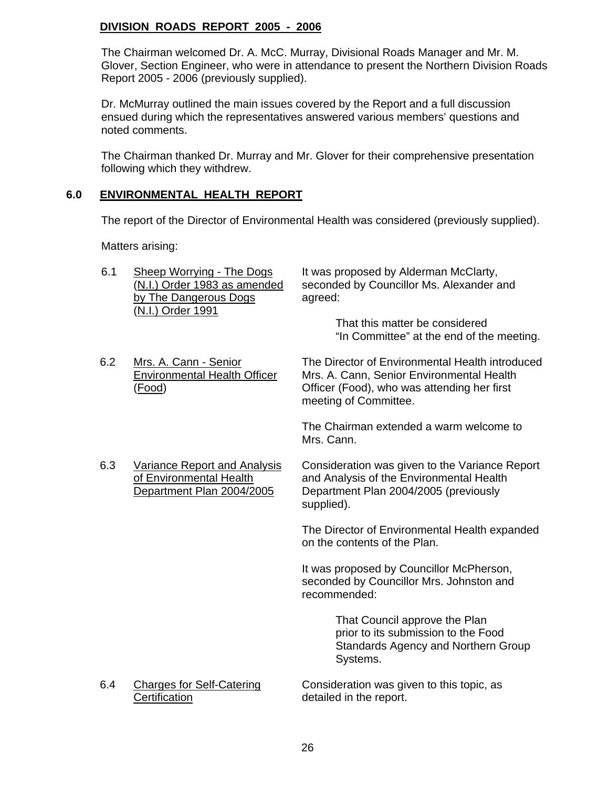## **DIVISION ROADS REPORT 2005 - 2006**

The Chairman welcomed Dr. A. McC. Murray, Divisional Roads Manager and Mr. M. Glover, Section Engineer, who were in attendance to present the Northern Division Roads Report 2005 - 2006 (previously supplied).

Dr. McMurray outlined the main issues covered by the Report and a full discussion ensued during which the representatives answered various members' questions and noted comments.

The Chairman thanked Dr. Murray and Mr. Glover for their comprehensive presentation following which they withdrew.

### **6.0 ENVIRONMENTAL HEALTH REPORT**

The report of the Director of Environmental Health was considered (previously supplied).

Matters arising:

| 6.1 | <b>Sheep Worrying - The Dogs</b><br>(N.I.) Order 1983 as amended<br>by The Dangerous Dogs<br>(N.I.) Order 1991 | It was proposed by Alderman McClarty,<br>seconded by Councillor Ms. Alexander and<br>agreed:<br>That this matter be considered<br>"In Committee" at the end of the meeting. |
|-----|----------------------------------------------------------------------------------------------------------------|-----------------------------------------------------------------------------------------------------------------------------------------------------------------------------|
| 6.2 | Mrs. A. Cann - Senior<br><b>Environmental Health Officer</b><br>(Food)                                         | The Director of Environmental Health introduced<br>Mrs. A. Cann, Senior Environmental Health<br>Officer (Food), who was attending her first<br>meeting of Committee.        |
|     |                                                                                                                | The Chairman extended a warm welcome to<br>Mrs. Cann.                                                                                                                       |
| 6.3 | <b>Variance Report and Analysis</b><br>of Environmental Health<br>Department Plan 2004/2005                    | Consideration was given to the Variance Report<br>and Analysis of the Environmental Health<br>Department Plan 2004/2005 (previously<br>supplied).                           |
|     |                                                                                                                | The Director of Environmental Health expanded<br>on the contents of the Plan.                                                                                               |
|     |                                                                                                                | It was proposed by Councillor McPherson,<br>seconded by Councillor Mrs. Johnston and<br>recommended:                                                                        |
|     |                                                                                                                | That Council approve the Plan<br>prior to its submission to the Food<br><b>Standards Agency and Northern Group</b><br>Systems.                                              |
| 6.4 | <b>Charges for Self-Catering</b><br>Certification                                                              | Consideration was given to this topic, as<br>detailed in the report.                                                                                                        |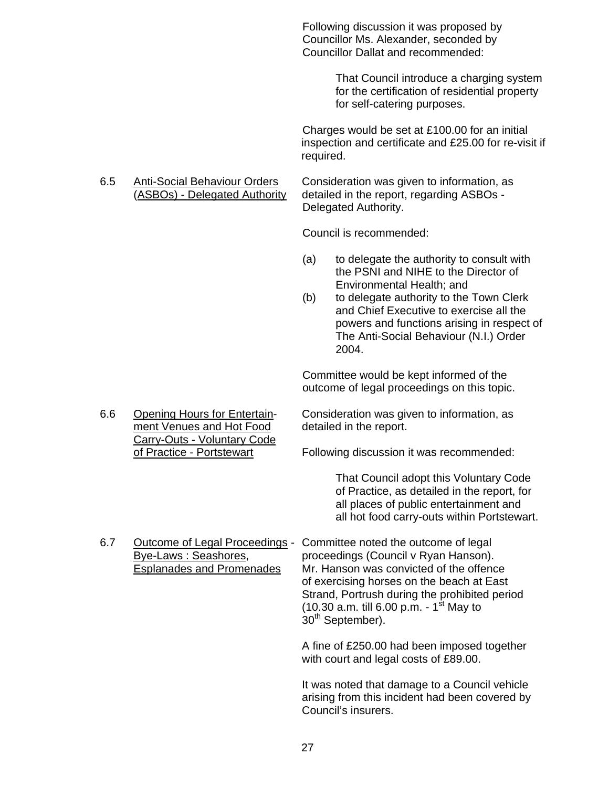Following discussion it was proposed by Councillor Ms. Alexander, seconded by Councillor Dallat and recommended:

> That Council introduce a charging system for the certification of residential property for self-catering purposes.

Charges would be set at £100.00 for an initial inspection and certificate and £25.00 for re-visit if required.

Carry-Outs - Voluntary Code

 6.5 Anti-Social Behaviour Orders Consideration was given to information, as (ASBOs) - Delegated Authority detailed in the report, regarding ASBOs - Delegated Authority.

Council is recommended:

- (a) to delegate the authority to consult with the PSNI and NIHE to the Director of Environmental Health; and
- (b) to delegate authority to the Town Clerk and Chief Executive to exercise all the powers and functions arising in respect of The Anti-Social Behaviour (N.I.) Order 2004.

Committee would be kept informed of the outcome of legal proceedings on this topic.

 6.6 Opening Hours for Entertain- Consideration was given to information, as ment Venues and Hot Food detailed in the report.

of Practice - Portstewart Following discussion it was recommended:

 That Council adopt this Voluntary Code of Practice, as detailed in the report, for all places of public entertainment and all hot food carry-outs within Portstewart.

6.7 Outcome of Legal Proceedings - Committee noted the outcome of legal<br>Bye-Laws: Seashores, proceedings (Council v Ryan Hanson). proceedings (Council v Ryan Hanson). Esplanades and Promenades Mr. Hanson was convicted of the offence of exercising horses on the beach at East Strand, Portrush during the prohibited period (10.30 a.m. till 6.00 p.m. -  $1^{st}$  May to 30<sup>th</sup> September).

> A fine of £250.00 had been imposed together with court and legal costs of £89.00.

It was noted that damage to a Council vehicle arising from this incident had been covered by Council's insurers.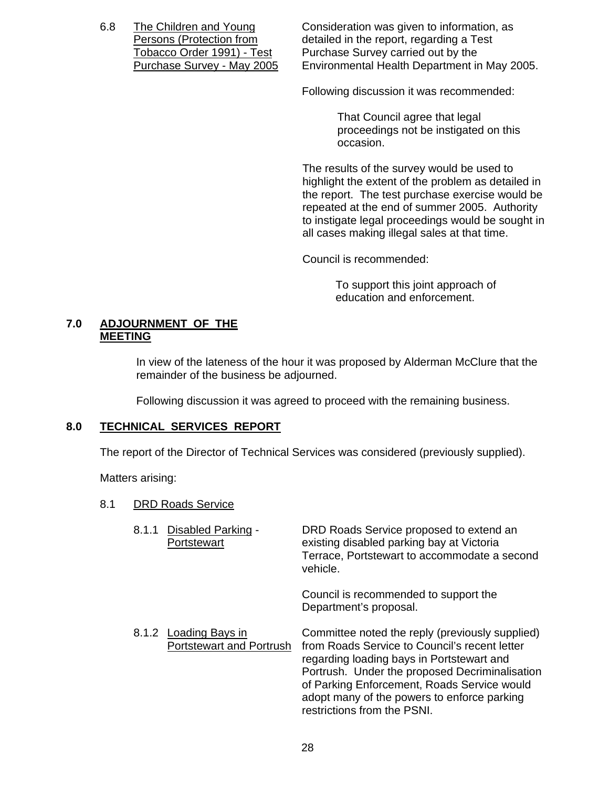6.8 The Children and Young Consideration was given to information, as Persons (Protection from detailed in the report, regarding a Test Tobacco Order 1991) - Test Purchase Survey carried out by the<br>Purchase Survey - May 2005 Environmental Health Department in Environmental Health Department in May 2005.

Following discussion it was recommended:

That Council agree that legal proceedings not be instigated on this occasion.

The results of the survey would be used to highlight the extent of the problem as detailed in the report. The test purchase exercise would be repeated at the end of summer 2005. Authority to instigate legal proceedings would be sought in all cases making illegal sales at that time.

Council is recommended:

 To support this joint approach of education and enforcement.

#### **7.0 ADJOURNMENT OF THE MEETING**

In view of the lateness of the hour it was proposed by Alderman McClure that the remainder of the business be adjourned.

Following discussion it was agreed to proceed with the remaining business.

### **8.0 TECHNICAL SERVICES REPORT**

The report of the Director of Technical Services was considered (previously supplied).

Matters arising:

#### 8.1 DRD Roads Service

| 8.1.1 | Disabled Parking -<br>Portstewart                        | DRD Roads Service proposed to extend an<br>existing disabled parking bay at Victoria<br>Terrace, Portstewart to accommodate a second<br>vehicle.                                                                                                                                                                             |
|-------|----------------------------------------------------------|------------------------------------------------------------------------------------------------------------------------------------------------------------------------------------------------------------------------------------------------------------------------------------------------------------------------------|
|       |                                                          | Council is recommended to support the<br>Department's proposal.                                                                                                                                                                                                                                                              |
|       | 8.1.2 Loading Bays in<br><b>Portstewart and Portrush</b> | Committee noted the reply (previously supplied)<br>from Roads Service to Council's recent letter<br>regarding loading bays in Portstewart and<br>Portrush. Under the proposed Decriminalisation<br>of Parking Enforcement, Roads Service would<br>adopt many of the powers to enforce parking<br>restrictions from the PSNI. |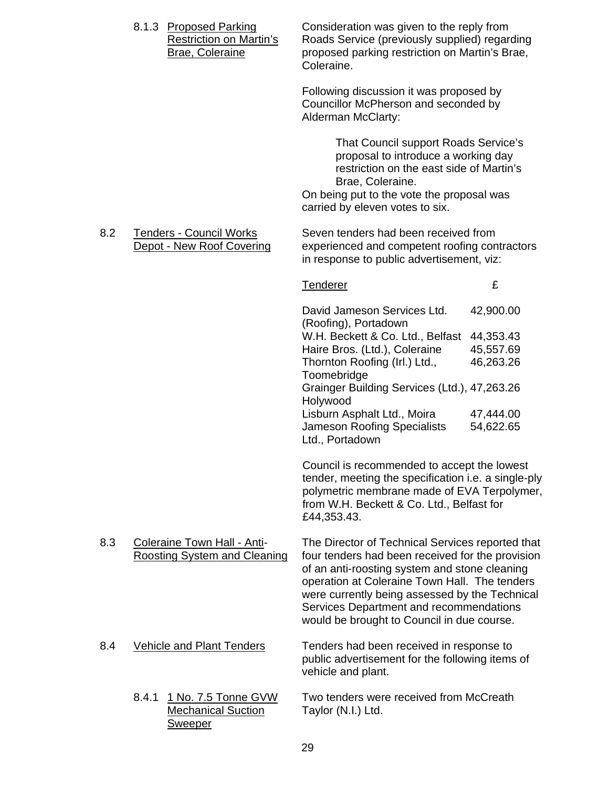|     |       | 8.1.3 Proposed Parking<br><b>Restriction on Martin's</b><br><b>Brae, Coleraine</b> | Consideration was given to the reply from<br>Roads Service (previously supplied) regarding<br>proposed parking restriction on Martin's Brae,<br>Coleraine.                                                                                                                                                                                        |                                                  |
|-----|-------|------------------------------------------------------------------------------------|---------------------------------------------------------------------------------------------------------------------------------------------------------------------------------------------------------------------------------------------------------------------------------------------------------------------------------------------------|--------------------------------------------------|
|     |       |                                                                                    | Following discussion it was proposed by<br>Councillor McPherson and seconded by<br>Alderman McClarty:                                                                                                                                                                                                                                             |                                                  |
|     |       |                                                                                    | That Council support Roads Service's<br>proposal to introduce a working day<br>restriction on the east side of Martin's<br>Brae, Coleraine.<br>On being put to the vote the proposal was<br>carried by eleven votes to six.                                                                                                                       |                                                  |
| 8.2 |       | <b>Tenders - Council Works</b><br>Depot - New Roof Covering                        | Seven tenders had been received from<br>experienced and competent roofing contractors<br>in response to public advertisement, viz:                                                                                                                                                                                                                |                                                  |
|     |       |                                                                                    | Tenderer                                                                                                                                                                                                                                                                                                                                          | £                                                |
|     |       |                                                                                    | David Jameson Services Ltd.<br>(Roofing), Portadown<br>W.H. Beckett & Co. Ltd., Belfast<br>Haire Bros. (Ltd.), Coleraine<br>Thornton Roofing (Irl.) Ltd.,<br>Toomebridge                                                                                                                                                                          | 42,900.00<br>44,353.43<br>45,557.69<br>46,263.26 |
|     |       |                                                                                    | Grainger Building Services (Ltd.), 47,263.26<br>Holywood<br>Lisburn Asphalt Ltd., Moira<br><b>Jameson Roofing Specialists</b><br>Ltd., Portadown                                                                                                                                                                                                  | 47,444.00<br>54,622.65                           |
|     |       |                                                                                    | Council is recommended to accept the lowest<br>tender, meeting the specification i.e. a single-ply<br>polymetric membrane made of EVA Terpolymer,<br>from W.H. Beckett & Co. Ltd., Belfast for<br>£44,353.43.                                                                                                                                     |                                                  |
| 8.3 |       | Coleraine Town Hall - Anti-<br><b>Roosting System and Cleaning</b>                 | The Director of Technical Services reported that<br>four tenders had been received for the provision<br>of an anti-roosting system and stone cleaning<br>operation at Coleraine Town Hall. The tenders<br>were currently being assessed by the Technical<br>Services Department and recommendations<br>would be brought to Council in due course. |                                                  |
| 8.4 |       | <b>Vehicle and Plant Tenders</b>                                                   | Tenders had been received in response to<br>public advertisement for the following items of<br>vehicle and plant.                                                                                                                                                                                                                                 |                                                  |
|     | 8.4.1 | 1 No. 7.5 Tonne GVW<br><b>Mechanical Suction</b><br><b>Sweeper</b>                 | Two tenders were received from McCreath<br>Taylor (N.I.) Ltd.                                                                                                                                                                                                                                                                                     |                                                  |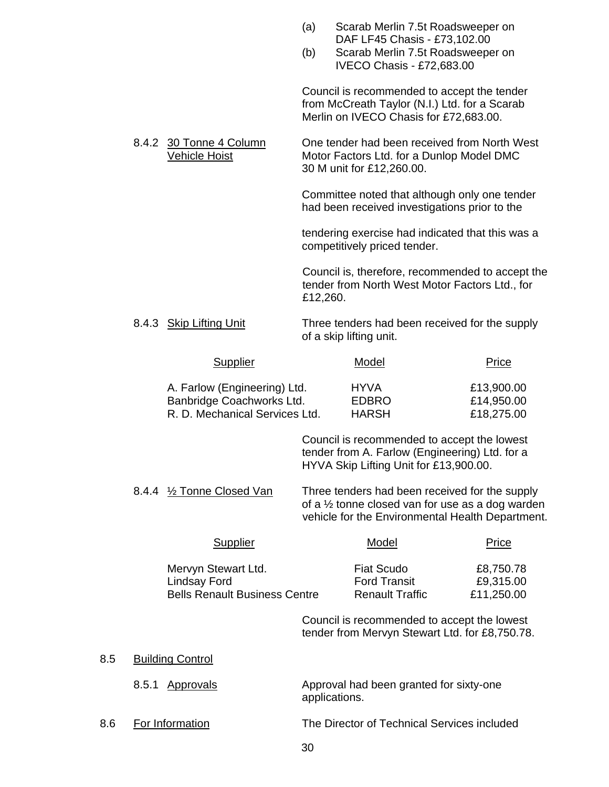|     |       |                                                                                             | (a)<br>(b) | Scarab Merlin 7.5t Roadsweeper on<br>DAF LF45 Chasis - £73,102.00<br>Scarab Merlin 7.5t Roadsweeper on<br>IVECO Chasis - £72,683.00     |                                                                                                                                                                   |
|-----|-------|---------------------------------------------------------------------------------------------|------------|-----------------------------------------------------------------------------------------------------------------------------------------|-------------------------------------------------------------------------------------------------------------------------------------------------------------------|
|     |       |                                                                                             |            | Council is recommended to accept the tender<br>from McCreath Taylor (N.I.) Ltd. for a Scarab<br>Merlin on IVECO Chasis for £72,683.00.  |                                                                                                                                                                   |
|     |       | 8.4.2 30 Tonne 4 Column<br><b>Vehicle Hoist</b>                                             |            | Motor Factors Ltd. for a Dunlop Model DMC<br>30 M unit for £12,260.00.                                                                  | One tender had been received from North West                                                                                                                      |
|     |       |                                                                                             |            | had been received investigations prior to the                                                                                           | Committee noted that although only one tender                                                                                                                     |
|     |       |                                                                                             |            | competitively priced tender.                                                                                                            | tendering exercise had indicated that this was a                                                                                                                  |
|     |       |                                                                                             | £12,260.   | tender from North West Motor Factors Ltd., for                                                                                          | Council is, therefore, recommended to accept the                                                                                                                  |
|     |       | 8.4.3 Skip Lifting Unit                                                                     |            | of a skip lifting unit.                                                                                                                 | Three tenders had been received for the supply                                                                                                                    |
|     |       | <b>Supplier</b>                                                                             |            | Model                                                                                                                                   | Price                                                                                                                                                             |
|     |       | A. Farlow (Engineering) Ltd.<br>Banbridge Coachworks Ltd.<br>R. D. Mechanical Services Ltd. |            | <b>HYVA</b><br><b>EDBRO</b><br><b>HARSH</b>                                                                                             | £13,900.00<br>£14,950.00<br>£18,275.00                                                                                                                            |
|     |       |                                                                                             |            | Council is recommended to accept the lowest<br>tender from A. Farlow (Engineering) Ltd. for a<br>HYVA Skip Lifting Unit for £13,900.00. |                                                                                                                                                                   |
|     |       | 8.4.4 1/2 Tonne Closed Van                                                                  |            |                                                                                                                                         | Three tenders had been received for the supply<br>of a $\frac{1}{2}$ tonne closed van for use as a dog warden<br>vehicle for the Environmental Health Department. |
|     |       | <b>Supplier</b>                                                                             |            | <b>Model</b>                                                                                                                            | <b>Price</b>                                                                                                                                                      |
|     |       | Mervyn Stewart Ltd.<br><b>Lindsay Ford</b><br><b>Bells Renault Business Centre</b>          |            | <b>Fiat Scudo</b><br><b>Ford Transit</b><br><b>Renault Traffic</b>                                                                      | £8,750.78<br>£9,315.00<br>£11,250.00                                                                                                                              |
|     |       |                                                                                             |            | Council is recommended to accept the lowest<br>tender from Mervyn Stewart Ltd. for £8,750.78.                                           |                                                                                                                                                                   |
| 8.5 |       | <b>Building Control</b>                                                                     |            |                                                                                                                                         |                                                                                                                                                                   |
|     | 8.5.1 | <u>Approvals</u>                                                                            |            | Approval had been granted for sixty-one<br>applications.                                                                                |                                                                                                                                                                   |
| 8.6 |       | For Information                                                                             |            | The Director of Technical Services included                                                                                             |                                                                                                                                                                   |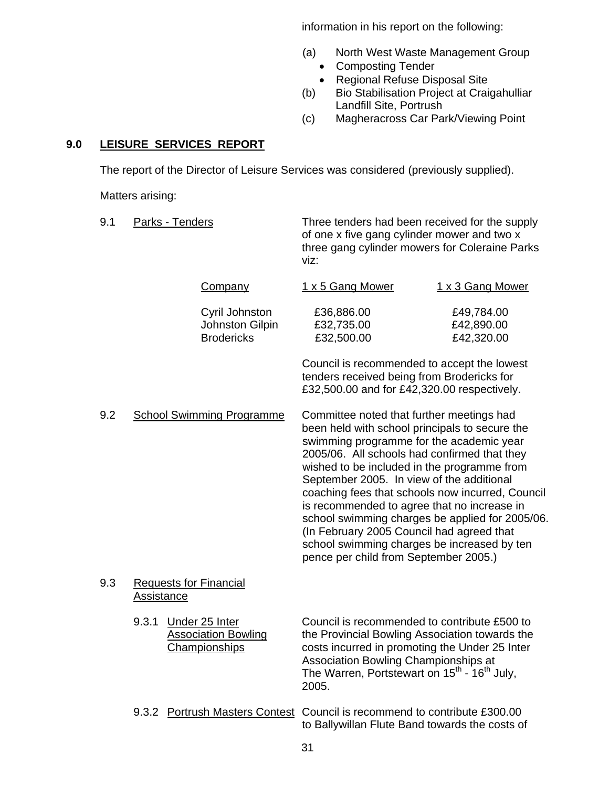information in his report on the following:

- (a) North West Waste Management Group
	- Composting Tender
	- Regional Refuse Disposal Site
- (b) Bio Stabilisation Project at Craigahulliar Landfill Site, Portrush
- (c) Magheracross Car Park/Viewing Point

## **9.0 LEISURE SERVICES REPORT**

The report of the Director of Leisure Services was considered (previously supplied).

Matters arising:

| 9.1 |                   | Parks - Tenders |                                                                      | Three tenders had been received for the supply<br>of one x five gang cylinder mower and two x<br>three gang cylinder mowers for Coleraine Parks<br>viz:                                                                                                                                                                                                                                                                                                                                                                                                                        |                                        |
|-----|-------------------|-----------------|----------------------------------------------------------------------|--------------------------------------------------------------------------------------------------------------------------------------------------------------------------------------------------------------------------------------------------------------------------------------------------------------------------------------------------------------------------------------------------------------------------------------------------------------------------------------------------------------------------------------------------------------------------------|----------------------------------------|
|     |                   |                 | <b>Company</b>                                                       | 1 x 5 Gang Mower                                                                                                                                                                                                                                                                                                                                                                                                                                                                                                                                                               | 1 x 3 Gang Mower                       |
|     |                   |                 | Cyril Johnston<br>Johnston Gilpin<br><b>Brodericks</b>               | £36,886.00<br>£32,735.00<br>£32,500.00                                                                                                                                                                                                                                                                                                                                                                                                                                                                                                                                         | £49,784.00<br>£42,890.00<br>£42,320.00 |
|     |                   |                 |                                                                      | Council is recommended to accept the lowest<br>tenders received being from Brodericks for<br>£32,500.00 and for £42,320.00 respectively.                                                                                                                                                                                                                                                                                                                                                                                                                                       |                                        |
| 9.2 |                   |                 | <b>School Swimming Programme</b>                                     | Committee noted that further meetings had<br>been held with school principals to secure the<br>swimming programme for the academic year<br>2005/06. All schools had confirmed that they<br>wished to be included in the programme from<br>September 2005. In view of the additional<br>coaching fees that schools now incurred, Council<br>is recommended to agree that no increase in<br>school swimming charges be applied for 2005/06.<br>(In February 2005 Council had agreed that<br>school swimming charges be increased by ten<br>pence per child from September 2005.) |                                        |
| 9.3 | <b>Assistance</b> |                 | <b>Requests for Financial</b>                                        |                                                                                                                                                                                                                                                                                                                                                                                                                                                                                                                                                                                |                                        |
|     | 9.3.1             |                 | Under 25 Inter<br><b>Association Bowling</b><br><b>Championships</b> | Council is recommended to contribute £500 to<br>the Provincial Bowling Association towards the<br>costs incurred in promoting the Under 25 Inter<br>Association Bowling Championships at<br>The Warren, Portstewart on 15 <sup>th</sup> - 16 <sup>th</sup> July,<br>2005.                                                                                                                                                                                                                                                                                                      |                                        |
|     |                   |                 |                                                                      | 9.3.2 Portrush Masters Contest Council is recommend to contribute £300.00<br>to Ballywillan Flute Band towards the costs of                                                                                                                                                                                                                                                                                                                                                                                                                                                    |                                        |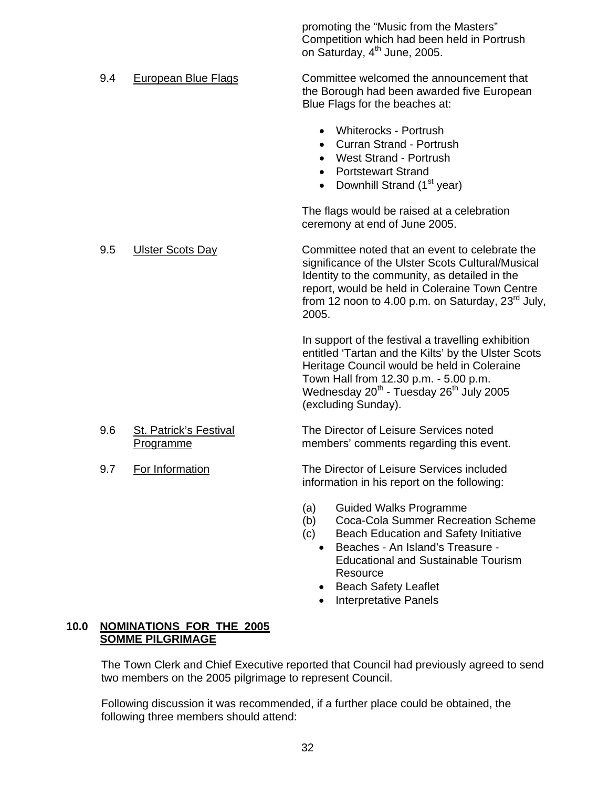promoting the "Music from the Masters" Competition which had been held in Portrush on Saturday, 4<sup>th</sup> June, 2005.

- 9.4 European Blue Flags Committee welcomed the announcement that the Borough had been awarded five European Blue Flags for the beaches at:
	- Whiterocks Portrush
	- Curran Strand Portrush
	- West Strand Portrush
	- Portstewart Strand
	- Downhill Strand (1<sup>st</sup> year)

The flags would be raised at a celebration ceremony at end of June 2005.

 9.5 Ulster Scots Day Committee noted that an event to celebrate the significance of the Ulster Scots Cultural/Musical Identity to the community, as detailed in the report, would be held in Coleraine Town Centre from 12 noon to 4.00 p.m. on Saturday,  $23<sup>rd</sup>$  July, 2005.

> In support of the festival a travelling exhibition entitled 'Tartan and the Kilts' by the Ulster Scots Heritage Council would be held in Coleraine Town Hall from 12.30 p.m. - 5.00 p.m. Wednesday 20<sup>th</sup> - Tuesday 26<sup>th</sup> July 2005 (excluding Sunday).

- 9.6 St. Patrick's Festival The Director of Leisure Services noted Programme members' comments regarding this event.
- 9.7 For Information The Director of Leisure Services included information in his report on the following:
	- (a) Guided Walks Programme
	- (b) Coca-Cola Summer Recreation Scheme
	- (c) Beach Education and Safety Initiative
		- Beaches An Island's Treasure Educational and Sustainable Tourism **Resource**
		- Beach Safety Leaflet
		- Interpretative Panels

#### **10.0 NOMINATIONS FOR THE 2005 SOMME PILGRIMAGE**

The Town Clerk and Chief Executive reported that Council had previously agreed to send two members on the 2005 pilgrimage to represent Council.

Following discussion it was recommended, if a further place could be obtained, the following three members should attend:

32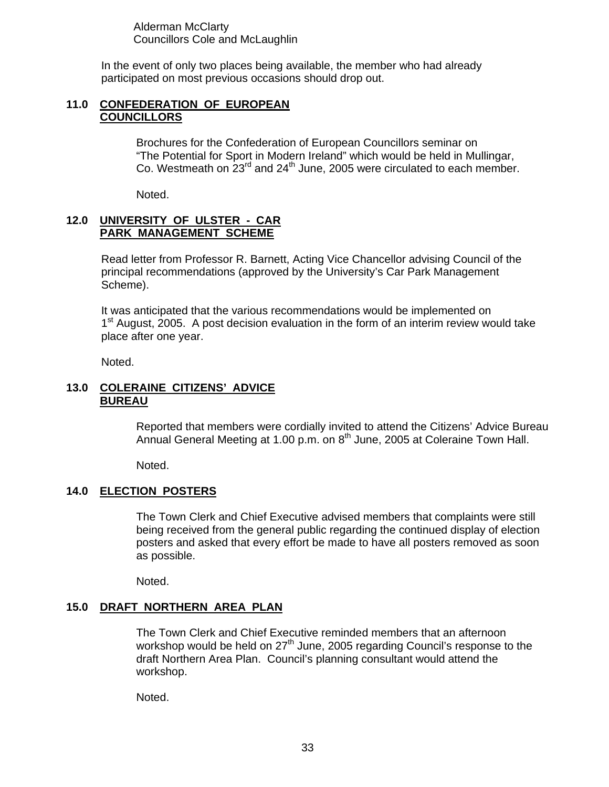Alderman McClarty Councillors Cole and McLaughlin

In the event of only two places being available, the member who had already participated on most previous occasions should drop out.

#### **11.0 CONFEDERATION OF EUROPEAN COUNCILLORS**

Brochures for the Confederation of European Councillors seminar on "The Potential for Sport in Modern Ireland" which would be held in Mullingar, Co. Westmeath on  $23^{\text{rd}}$  and  $24^{\text{th}}$  June, 2005 were circulated to each member.

Noted.

### **12.0 UNIVERSITY OF ULSTER - CAR PARK MANAGEMENT SCHEME**

Read letter from Professor R. Barnett, Acting Vice Chancellor advising Council of the principal recommendations (approved by the University's Car Park Management Scheme).

It was anticipated that the various recommendations would be implemented on  $1<sup>st</sup>$  August, 2005. A post decision evaluation in the form of an interim review would take place after one year.

Noted.

## **13.0 COLERAINE CITIZENS' ADVICE BUREAU**

Reported that members were cordially invited to attend the Citizens' Advice Bureau Annual General Meeting at 1.00 p.m. on 8<sup>th</sup> June, 2005 at Coleraine Town Hall.

Noted.

## **14.0 ELECTION POSTERS**

The Town Clerk and Chief Executive advised members that complaints were still being received from the general public regarding the continued display of election posters and asked that every effort be made to have all posters removed as soon as possible.

Noted.

#### **15.0 DRAFT NORTHERN AREA PLAN**

The Town Clerk and Chief Executive reminded members that an afternoon workshop would be held on  $27<sup>th</sup>$  June, 2005 regarding Council's response to the draft Northern Area Plan. Council's planning consultant would attend the workshop.

Noted.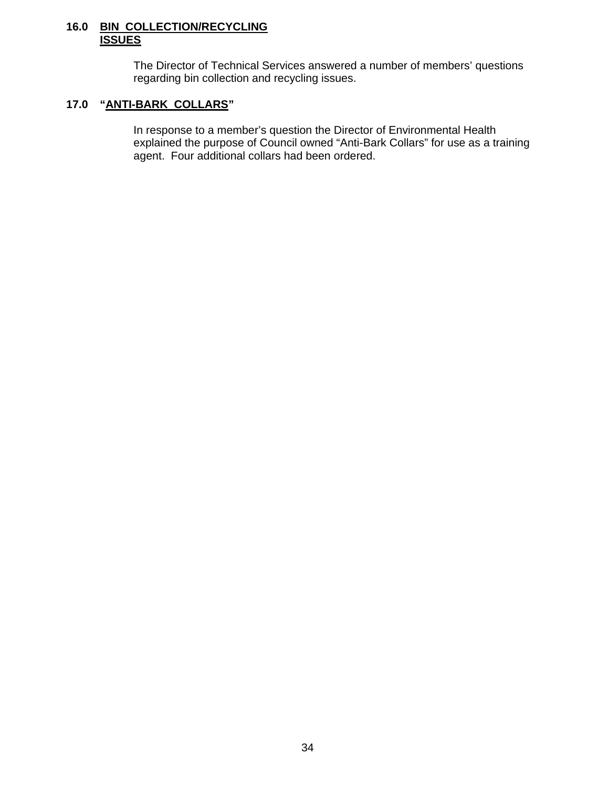#### **16.0 BIN COLLECTION/RECYCLING ISSUES**

 The Director of Technical Services answered a number of members' questions regarding bin collection and recycling issues.

## **17.0 "ANTI-BARK COLLARS"**

In response to a member's question the Director of Environmental Health explained the purpose of Council owned "Anti-Bark Collars" for use as a training agent. Four additional collars had been ordered.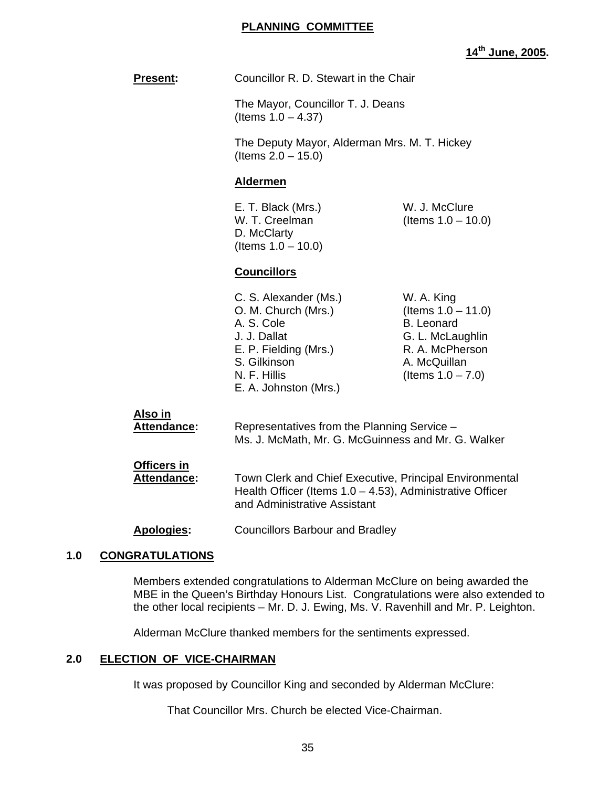#### **PLANNING COMMITTEE**

# **14th June, 2005.**

|                                          |                                                                                                                                                              | <u> 14¨ June,</u>                                                                                                                       |
|------------------------------------------|--------------------------------------------------------------------------------------------------------------------------------------------------------------|-----------------------------------------------------------------------------------------------------------------------------------------|
| Present:                                 | Councillor R. D. Stewart in the Chair                                                                                                                        |                                                                                                                                         |
|                                          | The Mayor, Councillor T. J. Deans<br>(Items $1.0 - 4.37$ )                                                                                                   |                                                                                                                                         |
|                                          | The Deputy Mayor, Alderman Mrs. M. T. Hickey<br>(Items $2.0 - 15.0$ )                                                                                        |                                                                                                                                         |
|                                          | <b>Aldermen</b>                                                                                                                                              |                                                                                                                                         |
|                                          | E. T. Black (Mrs.)<br>W. T. Creelman<br>D. McClarty<br>(Items $1.0 - 10.0$ )                                                                                 | W. J. McClure<br>(Items $1.0 - 10.0$ )                                                                                                  |
|                                          | <b>Councillors</b>                                                                                                                                           |                                                                                                                                         |
|                                          | C. S. Alexander (Ms.)<br>O. M. Church (Mrs.)<br>A. S. Cole<br>J. J. Dallat<br>E. P. Fielding (Mrs.)<br>S. Gilkinson<br>N. F. Hillis<br>E. A. Johnston (Mrs.) | W. A. King<br>(Items $1.0 - 11.0$ )<br><b>B.</b> Leonard<br>G. L. McLaughlin<br>R. A. McPherson<br>A. McQuillan<br>(Items $1.0 - 7.0$ ) |
| Also in<br><b>Attendance:</b>            | Representatives from the Planning Service -<br>Ms. J. McMath, Mr. G. McGuinness and Mr. G. Walker                                                            |                                                                                                                                         |
| <b>Officers in</b><br><b>Attendance:</b> | Town Clerk and Chief Executive, Principal Environmental<br>Health Officer (Items $1.0 - 4.53$ ), Administrative Officer<br>and Administrative Assistant      |                                                                                                                                         |
| <b>Apologies:</b>                        | <b>Councillors Barbour and Bradley</b>                                                                                                                       |                                                                                                                                         |

## **1.0 CONGRATULATIONS**

 Members extended congratulations to Alderman McClure on being awarded the MBE in the Queen's Birthday Honours List. Congratulations were also extended to the other local recipients – Mr. D. J. Ewing, Ms. V. Ravenhill and Mr. P. Leighton.

Alderman McClure thanked members for the sentiments expressed.

## **2.0 ELECTION OF VICE-CHAIRMAN**

It was proposed by Councillor King and seconded by Alderman McClure:

That Councillor Mrs. Church be elected Vice-Chairman.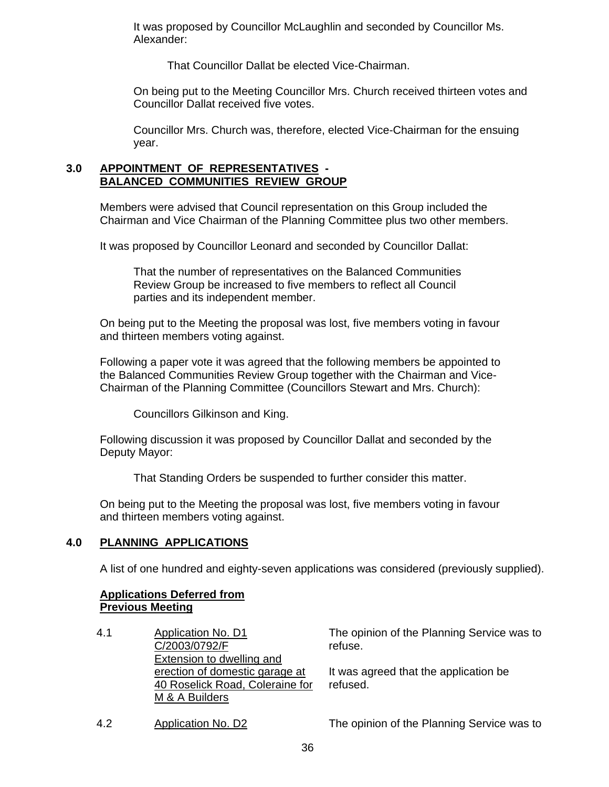It was proposed by Councillor McLaughlin and seconded by Councillor Ms. Alexander:

That Councillor Dallat be elected Vice-Chairman.

 On being put to the Meeting Councillor Mrs. Church received thirteen votes and Councillor Dallat received five votes.

 Councillor Mrs. Church was, therefore, elected Vice-Chairman for the ensuing year.

#### **3.0 APPOINTMENT OF REPRESENTATIVES - BALANCED COMMUNITIES REVIEW GROUP**

Members were advised that Council representation on this Group included the Chairman and Vice Chairman of the Planning Committee plus two other members.

It was proposed by Councillor Leonard and seconded by Councillor Dallat:

 That the number of representatives on the Balanced Communities Review Group be increased to five members to reflect all Council parties and its independent member.

 On being put to the Meeting the proposal was lost, five members voting in favour and thirteen members voting against.

 Following a paper vote it was agreed that the following members be appointed to the Balanced Communities Review Group together with the Chairman and Vice- Chairman of the Planning Committee (Councillors Stewart and Mrs. Church):

Councillors Gilkinson and King.

 Following discussion it was proposed by Councillor Dallat and seconded by the Deputy Mayor:

That Standing Orders be suspended to further consider this matter.

 On being put to the Meeting the proposal was lost, five members voting in favour and thirteen members voting against.

#### **4.0 PLANNING APPLICATIONS**

A list of one hundred and eighty-seven applications was considered (previously supplied).

## **Applications Deferred from Previous Meeting**

4.1 Application No. D1 C/2003/0792/F Extension to dwelling and erection of domestic garage at 40 Roselick Road, Coleraine for M & A Builders

The opinion of the Planning Service was to refuse.

It was agreed that the application be refused.

4.2 Application No. D2 The opinion of the Planning Service was to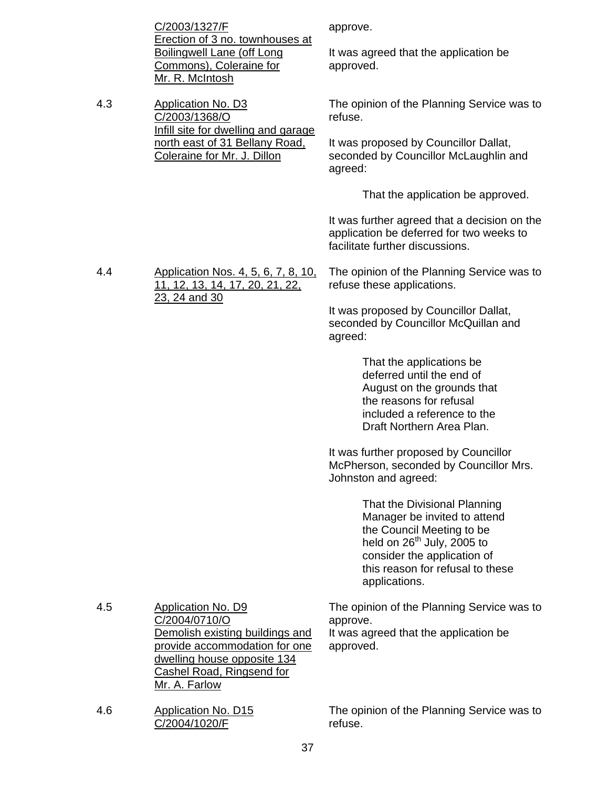|     | C/2003/1327/F<br>Erection of 3 no. townhouses at<br><b>Boilingwell Lane (off Long</b><br>Commons), Coleraine for<br>Mr. R. McIntosh                                                                | approve.<br>It was agreed that the application be<br>approved.                                                                                                                                                                                                                                                                                                                                                                                                                                                                                                                                                                                                                           |
|-----|----------------------------------------------------------------------------------------------------------------------------------------------------------------------------------------------------|------------------------------------------------------------------------------------------------------------------------------------------------------------------------------------------------------------------------------------------------------------------------------------------------------------------------------------------------------------------------------------------------------------------------------------------------------------------------------------------------------------------------------------------------------------------------------------------------------------------------------------------------------------------------------------------|
| 4.3 | <b>Application No. D3</b><br>C/2003/1368/O<br>Infill site for dwelling and garage<br>north east of 31 Bellany Road,<br>Coleraine for Mr. J. Dillon                                                 | The opinion of the Planning Service was to<br>refuse.<br>It was proposed by Councillor Dallat,<br>seconded by Councillor McLaughlin and<br>agreed:                                                                                                                                                                                                                                                                                                                                                                                                                                                                                                                                       |
|     |                                                                                                                                                                                                    | That the application be approved.<br>It was further agreed that a decision on the<br>application be deferred for two weeks to<br>facilitate further discussions.                                                                                                                                                                                                                                                                                                                                                                                                                                                                                                                         |
| 4.4 | Application Nos. 4, 5, 6, 7, 8, 10,<br>11, 12, 13, 14, 17, 20, 21, 22,<br>23, 24 and 30                                                                                                            | The opinion of the Planning Service was to<br>refuse these applications.<br>It was proposed by Councillor Dallat,<br>seconded by Councillor McQuillan and<br>agreed:<br>That the applications be<br>deferred until the end of<br>August on the grounds that<br>the reasons for refusal<br>included a reference to the<br>Draft Northern Area Plan.<br>It was further proposed by Councillor<br>McPherson, seconded by Councillor Mrs.<br>Johnston and agreed:<br>That the Divisional Planning<br>Manager be invited to attend<br>the Council Meeting to be<br>held on 26 <sup>th</sup> July, 2005 to<br>consider the application of<br>this reason for refusal to these<br>applications. |
| 4.5 | <b>Application No. D9</b><br>C/2004/0710/O<br>Demolish existing buildings and<br>provide accommodation for one<br>dwelling house opposite 134<br><b>Cashel Road, Ringsend for</b><br>Mr. A. Farlow | The opinion of the Planning Service was to<br>approve.<br>It was agreed that the application be<br>approved.                                                                                                                                                                                                                                                                                                                                                                                                                                                                                                                                                                             |
| 4.6 | <b>Application No. D15</b><br>C/2004/1020/F                                                                                                                                                        | The opinion of the Planning Service was to<br>refuse.                                                                                                                                                                                                                                                                                                                                                                                                                                                                                                                                                                                                                                    |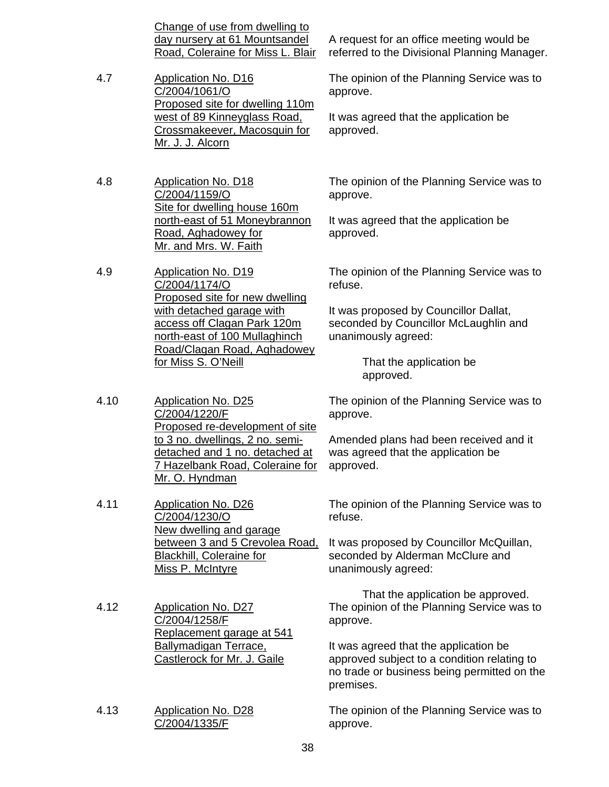Change of use from dwelling to day nursery at 61 Mountsandel Road, Coleraine for Miss L. Blair

- 4.7 Application No. D16 C/2004/1061/O Proposed site for dwelling 110m west of 89 Kinneyglass Road, Crossmakeever, Macosquin for Mr. J. J. Alcorn
- 4.8 Application No. D18 C/2004/1159/O Site for dwelling house 160m north-east of 51 Moneybrannon Road, Aghadowey for Mr. and Mrs. W. Faith

4.9 Application No. D19 C/2004/1174/O Proposed site for new dwelling with detached garage with access off Clagan Park 120m north-east of 100 Mullaghinch Road/Clagan Road, Aghadowey for Miss S. O'Neill

4.10 Application No. D25 C/2004/1220/F Proposed re-development of site to 3 no. dwellings, 2 no. semidetached and 1 no. detached at 7 Hazelbank Road, Coleraine for Mr. O. Hyndman

4.11 Application No. D26 C/2004/1230/O New dwelling and garage **Blackhill, Coleraine for** Miss P. McIntyre

- 4.12 Application No. D27 C/2004/1258/F Replacement garage at 541 Ballymadigan Terrace, Castlerock for Mr. J. Gaile
- 4.13 Application No. D28 C/2004/1335/F

A request for an office meeting would be referred to the Divisional Planning Manager.

The opinion of the Planning Service was to approve.

It was agreed that the application be approved.

The opinion of the Planning Service was to approve.

It was agreed that the application be approved.

The opinion of the Planning Service was to refuse.

It was proposed by Councillor Dallat, seconded by Councillor McLaughlin and unanimously agreed:

> That the application be approved.

The opinion of the Planning Service was to approve.

Amended plans had been received and it was agreed that the application be approved.

The opinion of the Planning Service was to refuse.

between 3 and 5 Crevolea Road, It was proposed by Councillor McQuillan, seconded by Alderman McClure and unanimously agreed:

> That the application be approved. The opinion of the Planning Service was to approve.

It was agreed that the application be approved subject to a condition relating to no trade or business being permitted on the premises.

The opinion of the Planning Service was to approve.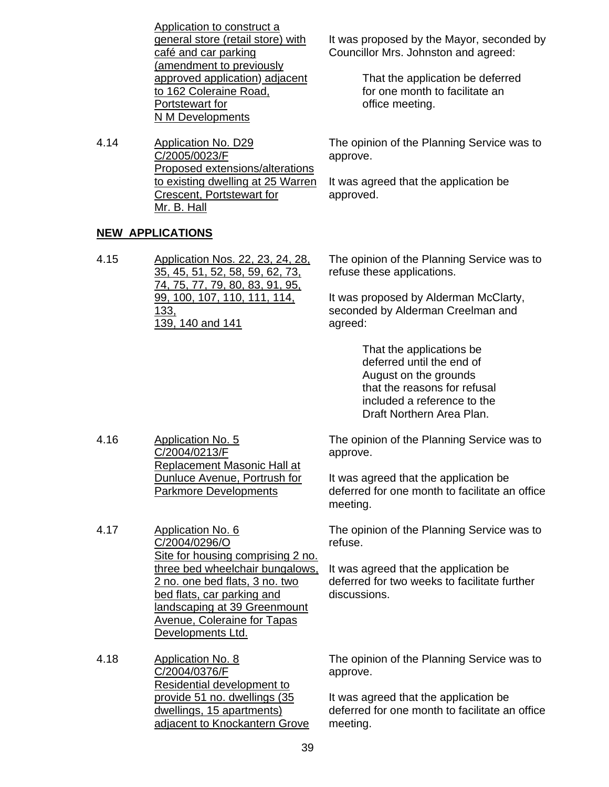| general store (retail store) with<br>café and car parking<br>(amendment to previously<br>approved application) adjacent<br>to 162 Coleraine Road,<br>Portstewart for |
|----------------------------------------------------------------------------------------------------------------------------------------------------------------------|
|                                                                                                                                                                      |
|                                                                                                                                                                      |
|                                                                                                                                                                      |
|                                                                                                                                                                      |
|                                                                                                                                                                      |
|                                                                                                                                                                      |
| N M Developments                                                                                                                                                     |

4.14 Application No. D29 C/2005/0023/F Proposed extensions/alterations to existing dwelling at 25 Warren Crescent, Portstewart for Mr. B. Hall

## **NEW APPLICATIONS**

4.15 Application Nos. 22, 23, 24, 28, 35, 45, 51, 52, 58, 59, 62, 73, 74, 75, 77, 79, 80, 83, 91, 95, 99, 100, 107, 110, 111, 114, 133, 139, 140 and 141

It was proposed by the Mayor, seconded by Councillor Mrs. Johnston and agreed:

> That the application be deferred for one month to facilitate an office meeting.

The opinion of the Planning Service was to approve.

It was agreed that the application be approved.

The opinion of the Planning Service was to refuse these applications.

It was proposed by Alderman McClarty, seconded by Alderman Creelman and agreed:

> That the applications be deferred until the end of August on the grounds that the reasons for refusal included a reference to the Draft Northern Area Plan.

The opinion of the Planning Service was to approve.

It was agreed that the application be deferred for one month to facilitate an office meeting.

The opinion of the Planning Service was to refuse.

It was agreed that the application be deferred for two weeks to facilitate further discussions.

4.16 Application No. 5 C/2004/0213/F Replacement Masonic Hall at Dunluce Avenue, Portrush for Parkmore Developments

4.17 Application No. 6 C/2004/0296/O Site for housing comprising 2 no. three bed wheelchair bungalows, 2 no. one bed flats, 3 no. two bed flats, car parking and landscaping at 39 Greenmount Avenue, Coleraine for Tapas Developments Ltd.

4.18 Application No. 8 C/2004/0376/F Residential development to provide 51 no. dwellings (35 dwellings, 15 apartments) adjacent to Knockantern Grove The opinion of the Planning Service was to approve.

It was agreed that the application be deferred for one month to facilitate an office meeting.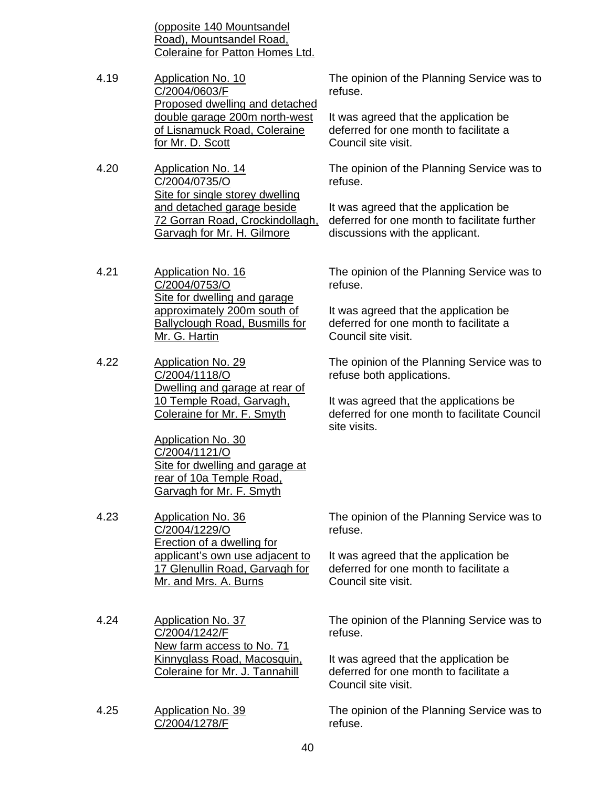(opposite 140 Mountsandel Road), Mountsandel Road, Coleraine for Patton Homes Ltd.

- 4.19 Application No. 10 C/2004/0603/F Proposed dwelling and detached double garage 200m north-west of Lisnamuck Road, Coleraine for Mr. D. Scott
- 4.20 Application No. 14 C/2004/0735/O Site for single storey dwelling and detached garage beside 72 Gorran Road, Crockindollagh, Garvagh for Mr. H. Gilmore
- 4.21 Application No. 16 C/2004/0753/O Site for dwelling and garage approximately 200m south of Ballyclough Road, Busmills for Mr. G. Hartin
- 4.22 Application No. 29 C/2004/1118/O Dwelling and garage at rear of 10 Temple Road, Garvagh, Coleraine for Mr. F. Smyth

Application No. 30 C/2004/1121/O Site for dwelling and garage at rear of 10a Temple Road, Garvagh for Mr. F. Smyth

- 4.23 Application No. 36 C/2004/1229/O Erection of a dwelling for applicant's own use adjacent to 17 Glenullin Road, Garvagh for Mr. and Mrs. A. Burns
- 4.24 Application No. 37 C/2004/1242/F New farm access to No. 71 Kinnyglass Road, Macosquin, Coleraine for Mr. J. Tannahill
- 4.25 Application No. 39 C/2004/1278/F

The opinion of the Planning Service was to refuse.

It was agreed that the application be deferred for one month to facilitate a Council site visit.

The opinion of the Planning Service was to refuse.

It was agreed that the application be deferred for one month to facilitate further discussions with the applicant.

The opinion of the Planning Service was to refuse.

It was agreed that the application be deferred for one month to facilitate a Council site visit.

The opinion of the Planning Service was to refuse both applications.

It was agreed that the applications be deferred for one month to facilitate Council site visits.

The opinion of the Planning Service was to refuse.

It was agreed that the application be deferred for one month to facilitate a Council site visit.

The opinion of the Planning Service was to refuse.

It was agreed that the application be deferred for one month to facilitate a Council site visit.

The opinion of the Planning Service was to refuse.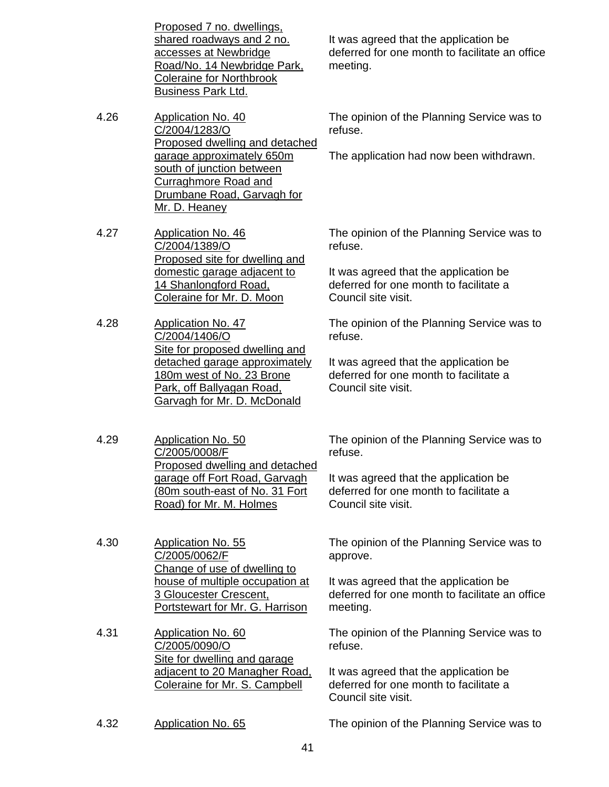Proposed 7 no. dwellings, shared roadways and 2 no. accesses at Newbridge Road/No. 14 Newbridge Park, Coleraine for Northbrook Business Park Ltd.

4.26 Application No. 40 C/2004/1283/O Proposed dwelling and detached garage approximately 650m south of junction between Curraghmore Road and Drumbane Road, Garvagh for Mr. D. Heaney

4.27 Application No. 46 C/2004/1389/O Proposed site for dwelling and domestic garage adjacent to 14 Shanlongford Road, Coleraine for Mr. D. Moon

4.28 Application No. 47 C/2004/1406/O Site for proposed dwelling and detached garage approximately 180m west of No. 23 Brone Park, off Ballyagan Road, Garvagh for Mr. D. McDonald

4.29 Application No. 50 C/2005/0008/F Proposed dwelling and detached garage off Fort Road, Garvagh (80m south-east of No. 31 Fort Road) for Mr. M. Holmes

4.30 Application No. 55 C/2005/0062/F Change of use of dwelling to house of multiple occupation at 3 Gloucester Crescent, Portstewart for Mr. G. Harrison

4.31 Application No. 60 C/2005/0090/O Site for dwelling and garage adjacent to 20 Managher Road, Coleraine for Mr. S. Campbell

It was agreed that the application be deferred for one month to facilitate an office meeting.

The opinion of the Planning Service was to refuse.

The application had now been withdrawn.

The opinion of the Planning Service was to refuse.

It was agreed that the application be deferred for one month to facilitate a Council site visit.

The opinion of the Planning Service was to refuse.

It was agreed that the application be deferred for one month to facilitate a Council site visit.

The opinion of the Planning Service was to refuse.

It was agreed that the application be deferred for one month to facilitate a Council site visit.

The opinion of the Planning Service was to approve.

It was agreed that the application be deferred for one month to facilitate an office meeting.

The opinion of the Planning Service was to refuse.

It was agreed that the application be deferred for one month to facilitate a Council site visit.

4.32 Application No. 65 The opinion of the Planning Service was to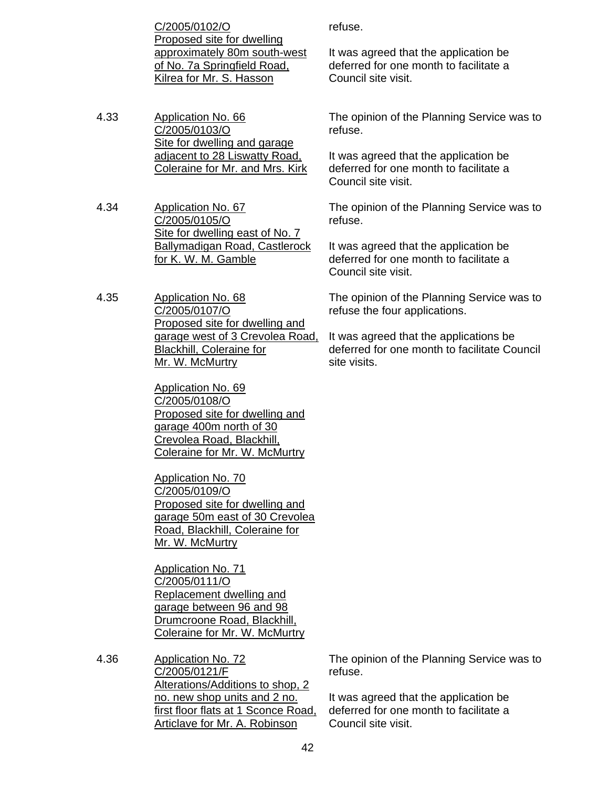C/2005/0102/O Proposed site for dwelling approximately 80m south-west of No. 7a Springfield Road, Kilrea for Mr. S. Hasson

4.33 Application No. 66 C/2005/0103/O Site for dwelling and garage adjacent to 28 Liswatty Road, Coleraine for Mr. and Mrs. Kirk

4.34 Application No. 67 C/2005/0105/O Site for dwelling east of No. 7 Ballymadigan Road, Castlerock for K. W. M. Gamble

4.35 Application No. 68 C/2005/0107/O Proposed site for dwelling and garage west of 3 Crevolea Road, Blackhill, Coleraine for Mr. W. McMurtry

> Application No. 69 C/2005/0108/O Proposed site for dwelling and garage 400m north of 30 Crevolea Road, Blackhill, Coleraine for Mr. W. McMurtry

Application No. 70 C/2005/0109/O Proposed site for dwelling and garage 50m east of 30 Crevolea Road, Blackhill, Coleraine for Mr. W. McMurtry

Application No. 71 C/2005/0111/O Replacement dwelling and garage between 96 and 98 Drumcroone Road, Blackhill, Coleraine for Mr. W. McMurtry

4.36 Application No. 72 C/2005/0121/F Alterations/Additions to shop, 2 no. new shop units and 2 no. first floor flats at 1 Sconce Road, Articlave for Mr. A. Robinson

refuse.

It was agreed that the application be deferred for one month to facilitate a Council site visit.

The opinion of the Planning Service was to refuse.

It was agreed that the application be deferred for one month to facilitate a Council site visit.

The opinion of the Planning Service was to refuse.

It was agreed that the application be deferred for one month to facilitate a Council site visit.

The opinion of the Planning Service was to refuse the four applications.

It was agreed that the applications be deferred for one month to facilitate Council site visits.

The opinion of the Planning Service was to refuse.

It was agreed that the application be deferred for one month to facilitate a Council site visit.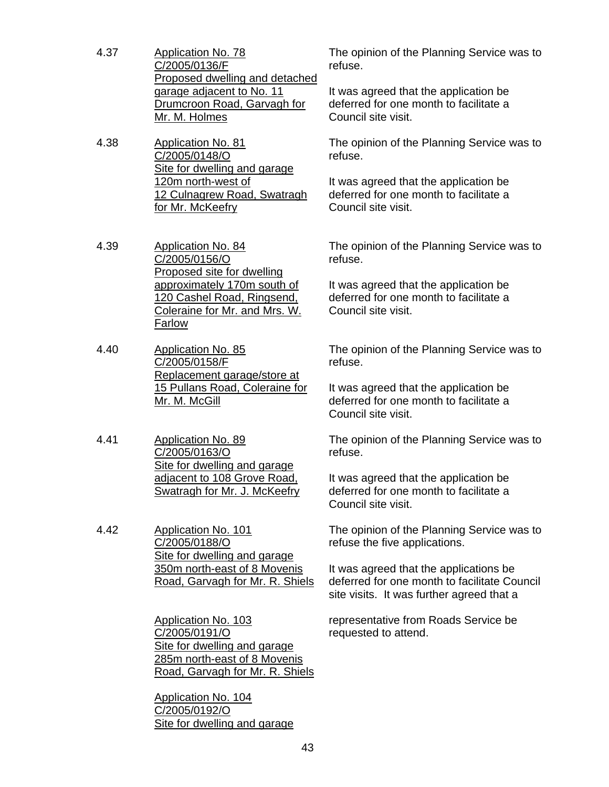- 4.37 Application No. 78 C/2005/0136/F Proposed dwelling and detached garage adjacent to No. 11 Drumcroon Road, Garvagh for Mr. M. Holmes
- 4.38 Application No. 81 C/2005/0148/O Site for dwelling and garage 120m north-west of 12 Culnagrew Road, Swatragh for Mr. McKeefry
- 4.39 Application No. 84 C/2005/0156/O Proposed site for dwelling approximately 170m south of 120 Cashel Road, Ringsend, Coleraine for Mr. and Mrs. W. Farlow
- 4.40 Application No. 85 C/2005/0158/F Replacement garage/store at 15 Pullans Road, Coleraine for Mr. M. McGill
- 4.41 Application No. 89 C/2005/0163/O Site for dwelling and garage adjacent to 108 Grove Road, Swatragh for Mr. J. McKeefry

4.42 Application No. 101 C/2005/0188/O Site for dwelling and garage 350m north-east of 8 Movenis Road, Garvagh for Mr. R. Shiels

> Application No. 103 C/2005/0191/O Site for dwelling and garage 285m north-east of 8 Movenis Road, Garvagh for Mr. R. Shiels

Application No. 104 C/2005/0192/O Site for dwelling and garage The opinion of the Planning Service was to refuse.

It was agreed that the application be deferred for one month to facilitate a Council site visit.

The opinion of the Planning Service was to refuse.

It was agreed that the application be deferred for one month to facilitate a Council site visit.

The opinion of the Planning Service was to refuse.

It was agreed that the application be deferred for one month to facilitate a Council site visit.

The opinion of the Planning Service was to refuse.

It was agreed that the application be deferred for one month to facilitate a Council site visit.

The opinion of the Planning Service was to refuse.

It was agreed that the application be deferred for one month to facilitate a Council site visit.

The opinion of the Planning Service was to refuse the five applications.

It was agreed that the applications be deferred for one month to facilitate Council site visits. It was further agreed that a

representative from Roads Service be requested to attend.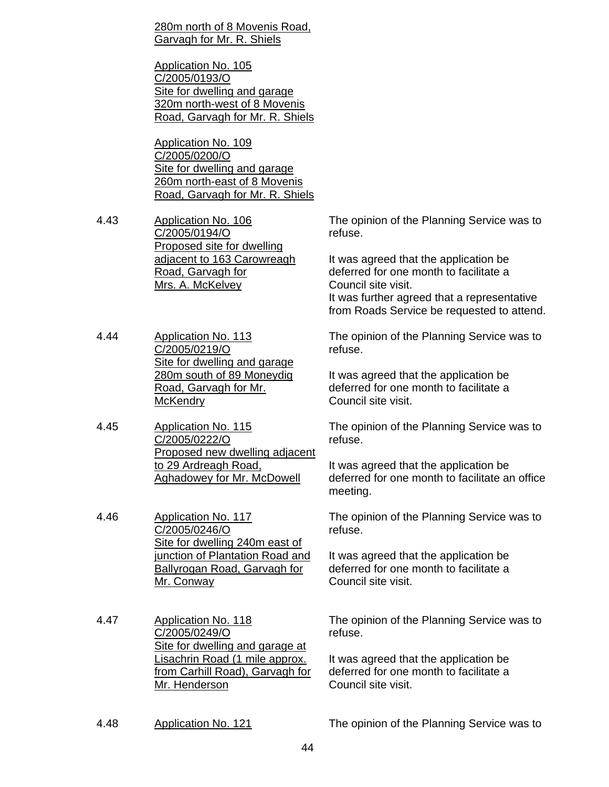280m north of 8 Movenis Road, Garvagh for Mr. R. Shiels

Application No. 105 C/2005/0193/O Site for dwelling and garage 320m north-west of 8 Movenis Road, Garvagh for Mr. R. Shiels

Application No. 109 C/2005/0200/O Site for dwelling and garage 260m north-east of 8 Movenis Road, Garvagh for Mr. R. Shiels

4.43 Application No. 106 C/2005/0194/O Proposed site for dwelling adjacent to 163 Carowreagh Road, Garvagh for Mrs. A. McKelvey

4.44 Application No. 113 C/2005/0219/O Site for dwelling and garage 280m south of 89 Moneydig Road, Garvagh for Mr. **McKendry** 

4.45 Application No. 115 C/2005/0222/O Proposed new dwelling adjacent to 29 Ardreagh Road, Aghadowey for Mr. McDowell

4.46 Application No. 117 C/2005/0246/O Site for dwelling 240m east of junction of Plantation Road and Ballyrogan Road, Garvagh for Mr. Conway

4.47 Application No. 118 C/2005/0249/O Site for dwelling and garage at Lisachrin Road (1 mile approx. from Carhill Road), Garvagh for Mr. Henderson

The opinion of the Planning Service was to refuse.

It was agreed that the application be deferred for one month to facilitate a Council site visit.

It was further agreed that a representative from Roads Service be requested to attend.

The opinion of the Planning Service was to refuse.

It was agreed that the application be deferred for one month to facilitate a Council site visit.

The opinion of the Planning Service was to refuse.

It was agreed that the application be deferred for one month to facilitate an office meeting.

The opinion of the Planning Service was to refuse.

It was agreed that the application be deferred for one month to facilitate a Council site visit.

The opinion of the Planning Service was to refuse.

It was agreed that the application be deferred for one month to facilitate a Council site visit.

4.48 Application No. 121 The opinion of the Planning Service was to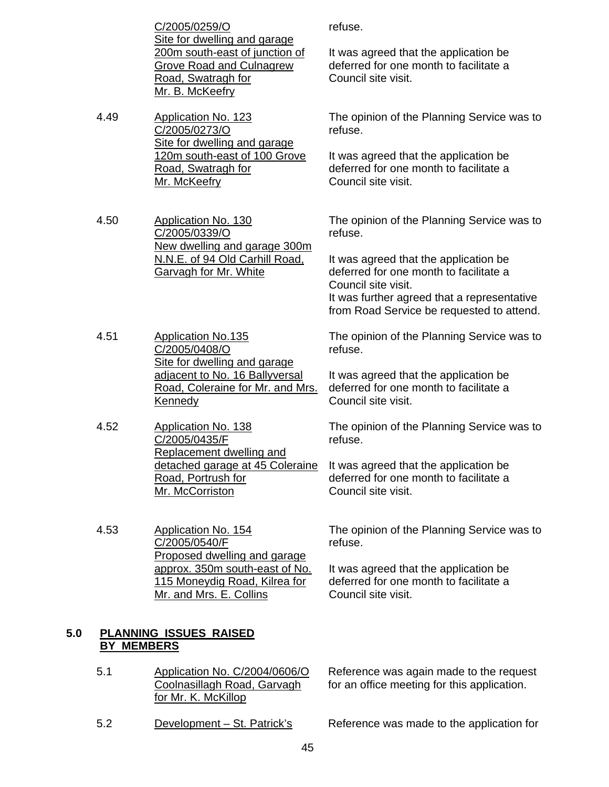|     |                   | C/2005/0259/O<br>Site for dwelling and garage                                                              | refuse.                                                                                                                                                                                            |
|-----|-------------------|------------------------------------------------------------------------------------------------------------|----------------------------------------------------------------------------------------------------------------------------------------------------------------------------------------------------|
|     |                   | 200m south-east of junction of<br><b>Grove Road and Culnagrew</b><br>Road, Swatragh for<br>Mr. B. McKeefry | It was agreed that the application be<br>deferred for one month to facilitate a<br>Council site visit.                                                                                             |
|     | 4.49              | <b>Application No. 123</b><br>C/2005/0273/O<br>Site for dwelling and garage                                | The opinion of the Planning Service was to<br>refuse.                                                                                                                                              |
|     |                   | 120m south-east of 100 Grove<br>Road, Swatragh for<br>Mr. McKeefry                                         | It was agreed that the application be<br>deferred for one month to facilitate a<br>Council site visit.                                                                                             |
|     | 4.50              | <b>Application No. 130</b><br>C/2005/0339/O<br>New dwelling and garage 300m                                | The opinion of the Planning Service was to<br>refuse.                                                                                                                                              |
|     |                   | N.N.E. of 94 Old Carhill Road,<br>Garvagh for Mr. White                                                    | It was agreed that the application be<br>deferred for one month to facilitate a<br>Council site visit.<br>It was further agreed that a representative<br>from Road Service be requested to attend. |
|     | 4.51              | <b>Application No.135</b><br>C/2005/0408/O<br>Site for dwelling and garage                                 | The opinion of the Planning Service was to<br>refuse.                                                                                                                                              |
|     |                   | adjacent to No. 16 Ballyversal<br>Road, Coleraine for Mr. and Mrs.<br>Kennedy                              | It was agreed that the application be<br>deferred for one month to facilitate a<br>Council site visit.                                                                                             |
|     | 4.52              | <b>Application No. 138</b><br>C/2005/0435/F<br>Replacement dwelling and                                    | The opinion of the Planning Service was to<br>refuse.                                                                                                                                              |
|     |                   | Road, Portrush for<br>Mr. McCorriston                                                                      | detached garage at 45 Coleraine It was agreed that the application be<br>deferred for one month to facilitate a<br>Council site visit.                                                             |
|     | 4.53              | Application No. 154<br>C/2005/0540/F<br>Proposed dwelling and garage                                       | The opinion of the Planning Service was to<br>refuse.                                                                                                                                              |
|     |                   | approx. 350m south-east of No.<br>115 Moneydig Road, Kilrea for<br>Mr. and Mrs. E. Collins                 | It was agreed that the application be<br>deferred for one month to facilitate a<br>Council site visit.                                                                                             |
| 5.0 | <b>BY MEMBERS</b> | PLANNING ISSUES RAISED                                                                                     |                                                                                                                                                                                                    |
|     | 5.1               | Application No. C/2004/0606/O<br>Coolnasillagh Road, Garvagh<br>for Mr. K. McKillop                        | Reference was again made to the request<br>for an office meeting for this application.                                                                                                             |

5.2 Development – St. Patrick's Reference was made to the application for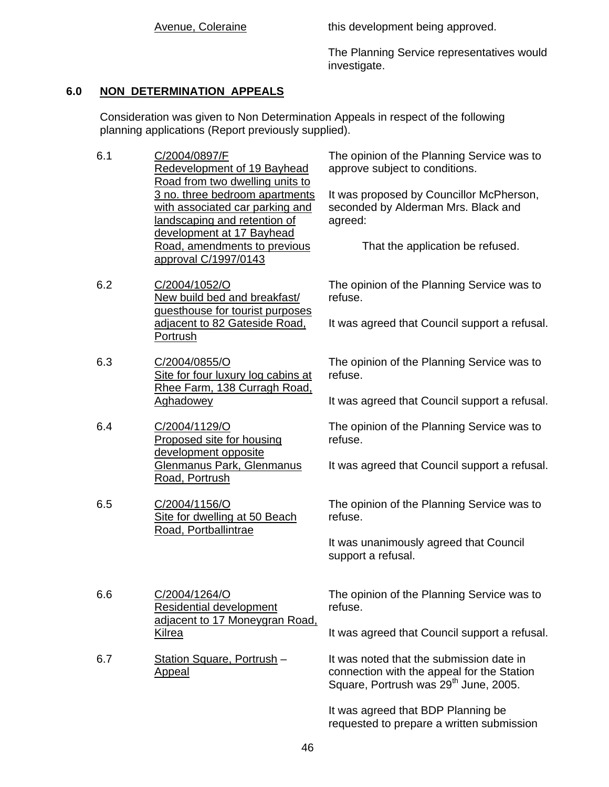Avenue, Coleraine This development being approved.

The Planning Service representatives would investigate.

## **6.0 NON DETERMINATION APPEALS**

 Consideration was given to Non Determination Appeals in respect of the following planning applications (Report previously supplied).

- 6.1 C/2004/0897/F Redevelopment of 19 Bayhead Road from two dwelling units to 3 no. three bedroom apartments with associated car parking and landscaping and retention of development at 17 Bayhead Road, amendments to previous approval C/1997/0143
- 6.2 C/2004/1052/O New build bed and breakfast/ guesthouse for tourist purposes adjacent to 82 Gateside Road, Portrush
- 6.3 C/2004/0855/O Site for four luxury log cabins at Rhee Farm, 138 Curragh Road, Aghadowey
- 6.4 C/2004/1129/O Proposed site for housing development opposite Glenmanus Park, Glenmanus Road, Portrush
- 6.5 C/2004/1156/O Site for dwelling at 50 Beach Road, Portballintrae

Residential development

adjacent to 17 Moneygran Road,

6.6 C/2004/1264/O

Kilrea

Appeal

6.7 Station Square, Portrush –

The opinion of the Planning Service was to approve subject to conditions.

It was proposed by Councillor McPherson, seconded by Alderman Mrs. Black and agreed:

That the application be refused.

The opinion of the Planning Service was to refuse.

It was agreed that Council support a refusal.

The opinion of the Planning Service was to refuse.

It was agreed that Council support a refusal.

The opinion of the Planning Service was to refuse.

It was agreed that Council support a refusal.

The opinion of the Planning Service was to refuse.

It was unanimously agreed that Council support a refusal.

The opinion of the Planning Service was to refuse.

It was agreed that Council support a refusal.

It was noted that the submission date in connection with the appeal for the Station Square, Portrush was 29<sup>th</sup> June, 2005.

It was agreed that BDP Planning be requested to prepare a written submission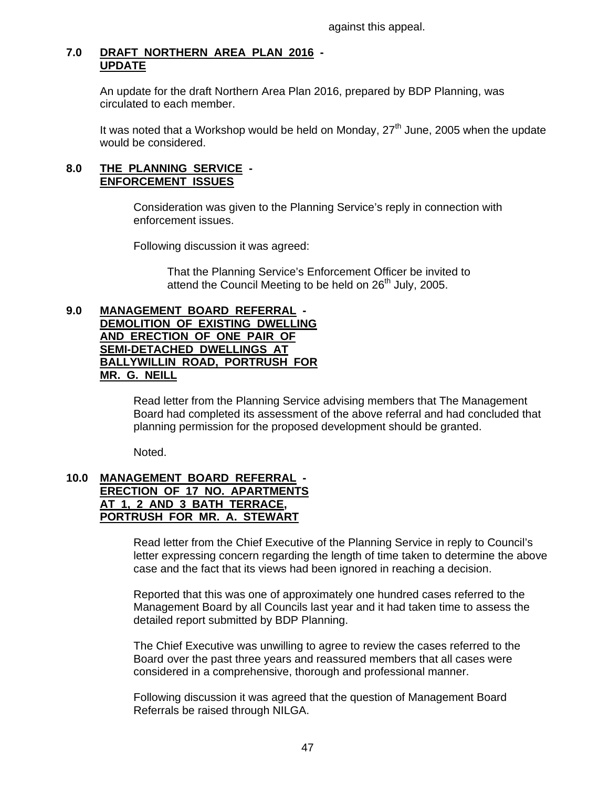against this appeal.

## **7.0 DRAFT NORTHERN AREA PLAN 2016 - UPDATE**

 An update for the draft Northern Area Plan 2016, prepared by BDP Planning, was circulated to each member.

It was noted that a Workshop would be held on Monday,  $27<sup>th</sup>$  June, 2005 when the update would be considered.

#### **8.0 THE PLANNING SERVICE - ENFORCEMENT ISSUES**

 Consideration was given to the Planning Service's reply in connection with enforcement issues.

Following discussion it was agreed:

 That the Planning Service's Enforcement Officer be invited to attend the Council Meeting to be held on 26<sup>th</sup> July, 2005.

#### **9.0 MANAGEMENT BOARD REFERRAL - DEMOLITION OF EXISTING DWELLING AND ERECTION OF ONE PAIR OF SEMI-DETACHED DWELLINGS AT BALLYWILLIN ROAD, PORTRUSH FOR MR. G. NEILL**

Read letter from the Planning Service advising members that The Management Board had completed its assessment of the above referral and had concluded that planning permission for the proposed development should be granted.

Noted.

#### **10.0 MANAGEMENT BOARD REFERRAL - ERECTION OF 17 NO. APARTMENTS AT 1, 2 AND 3 BATH TERRACE, PORTRUSH FOR MR. A. STEWART**

Read letter from the Chief Executive of the Planning Service in reply to Council's letter expressing concern regarding the length of time taken to determine the above case and the fact that its views had been ignored in reaching a decision.

 Reported that this was one of approximately one hundred cases referred to the Management Board by all Councils last year and it had taken time to assess the detailed report submitted by BDP Planning.

 The Chief Executive was unwilling to agree to review the cases referred to the Board over the past three years and reassured members that all cases were considered in a comprehensive, thorough and professional manner.

 Following discussion it was agreed that the question of Management Board Referrals be raised through NILGA.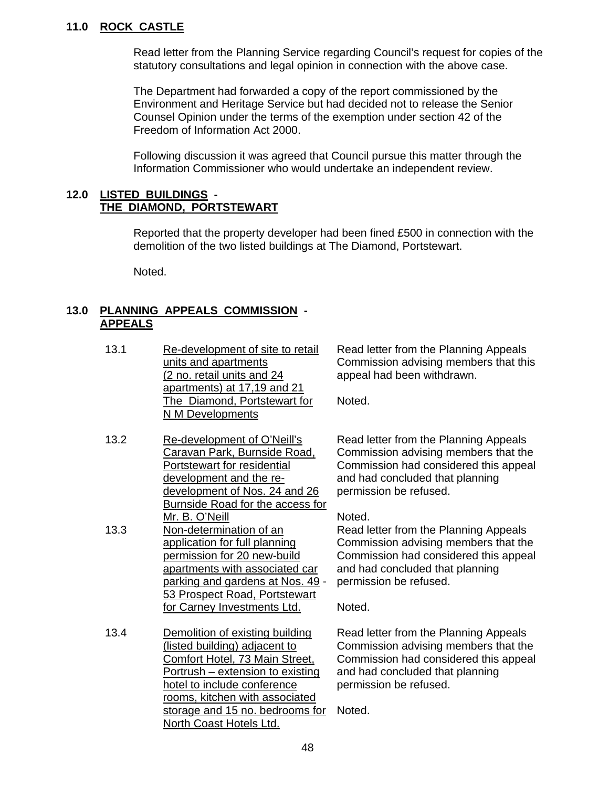## **11.0 ROCK CASTLE**

 Read letter from the Planning Service regarding Council's request for copies of the statutory consultations and legal opinion in connection with the above case.

 The Department had forwarded a copy of the report commissioned by the Environment and Heritage Service but had decided not to release the Senior Counsel Opinion under the terms of the exemption under section 42 of the Freedom of Information Act 2000.

 Following discussion it was agreed that Council pursue this matter through the Information Commissioner who would undertake an independent review.

#### **12.0 LISTED BUILDINGS - THE DIAMOND, PORTSTEWART**

 Reported that the property developer had been fined £500 in connection with the demolition of the two listed buildings at The Diamond, Portstewart.

Noted.

## **13.0 PLANNING APPEALS COMMISSION - APPEALS**

- 13.1 Re-development of site to retail units and apartments (2 no. retail units and 24 apartments) at 17,19 and 21 The Diamond, Portstewart for N M Developments
- 13.2 Re-development of O'Neill's Caravan Park, Burnside Road, Portstewart for residential development and the redevelopment of Nos. 24 and 26 Burnside Road for the access for Mr. B. O'Neill 13.3 Non-determination of an
- application for full planning permission for 20 new-build apartments with associated car parking and gardens at Nos. 49 - 53 Prospect Road, Portstewart for Carney Investments Ltd.
- 13.4 Demolition of existing building (listed building) adjacent to Comfort Hotel, 73 Main Street, Portrush – extension to existing hotel to include conference rooms, kitchen with associated storage and 15 no. bedrooms for Noted. North Coast Hotels Ltd.

Read letter from the Planning Appeals Commission advising members that this appeal had been withdrawn.

Noted.

Read letter from the Planning Appeals Commission advising members that the Commission had considered this appeal and had concluded that planning permission be refused.

Noted.

Read letter from the Planning Appeals Commission advising members that the Commission had considered this appeal and had concluded that planning permission be refused.

Noted.

Read letter from the Planning Appeals Commission advising members that the Commission had considered this appeal and had concluded that planning permission be refused.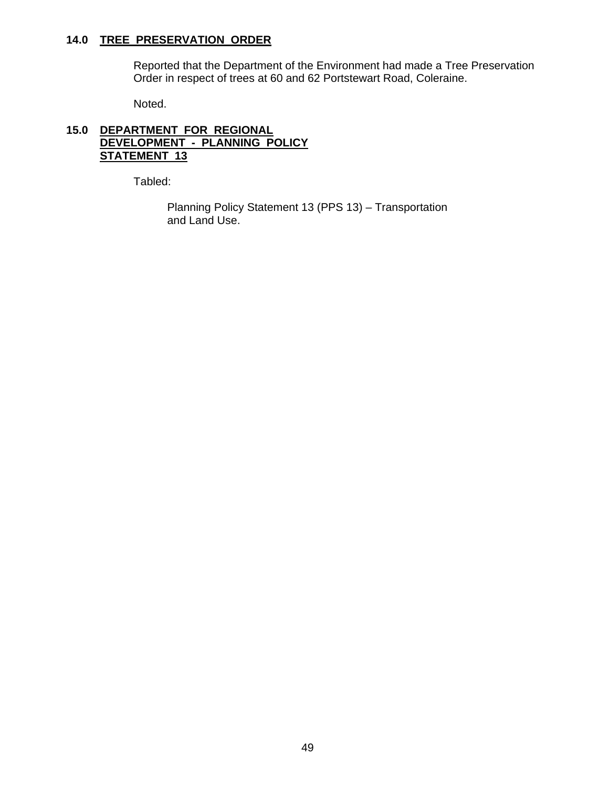## **14.0 TREE PRESERVATION ORDER**

 Reported that the Department of the Environment had made a Tree Preservation Order in respect of trees at 60 and 62 Portstewart Road, Coleraine.

Noted.

## **15.0 DEPARTMENT FOR REGIONAL DEVELOPMENT - PLANNING POLICY STATEMENT 13**

Tabled:

 Planning Policy Statement 13 (PPS 13) – Transportation and Land Use.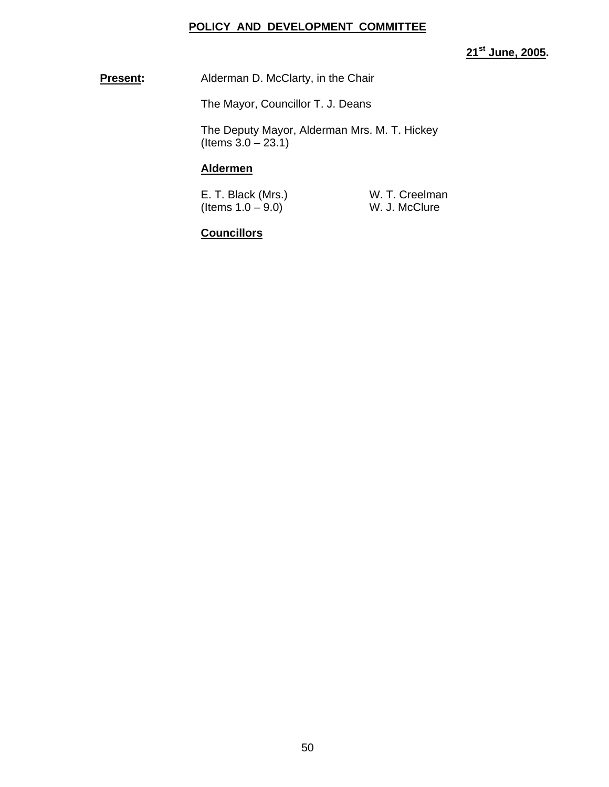#### **POLICY AND DEVELOPMENT COMMITTEE**

**21st June, 2005.** 

**Present:** Alderman D. McClarty, in the Chair

The Mayor, Councillor T. J. Deans

 The Deputy Mayor, Alderman Mrs. M. T. Hickey  $($ ltems  $3.0 - 23.1)$ 

#### **Aldermen**

| E. T. Black (Mrs.) | W. T. Creelman |
|--------------------|----------------|
| (Items 1.0 – 9.0)  | W. J. McClure  |

## **Councillors**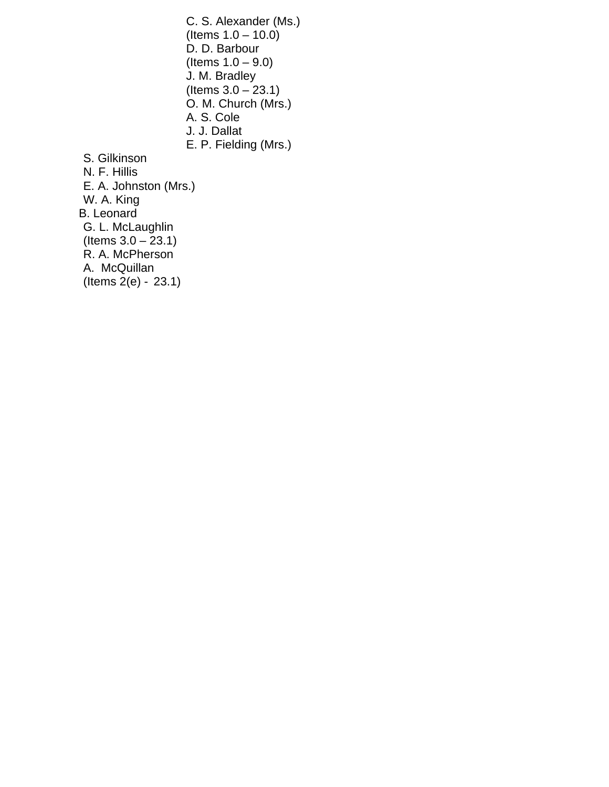C. S. Alexander (Ms.) (Items  $1.0 - 10.0$ ) D. D. Barbour (Items  $1.0 - 9.0$ ) J. M. Bradley (Items  $3.0 - 23.1$ ) O. M. Church (Mrs.) A. S. Cole J. J. Dallat E. P. Fielding (Mrs.) S. Gilkinson N. F. Hillis E. A. Johnston (Mrs.) W. A. King B. Leonard G. L. McLaughlin  $($  Items  $3.0 - 23.1)$  R. A. McPherson A. McQuillan (Items 2(e) - 23.1)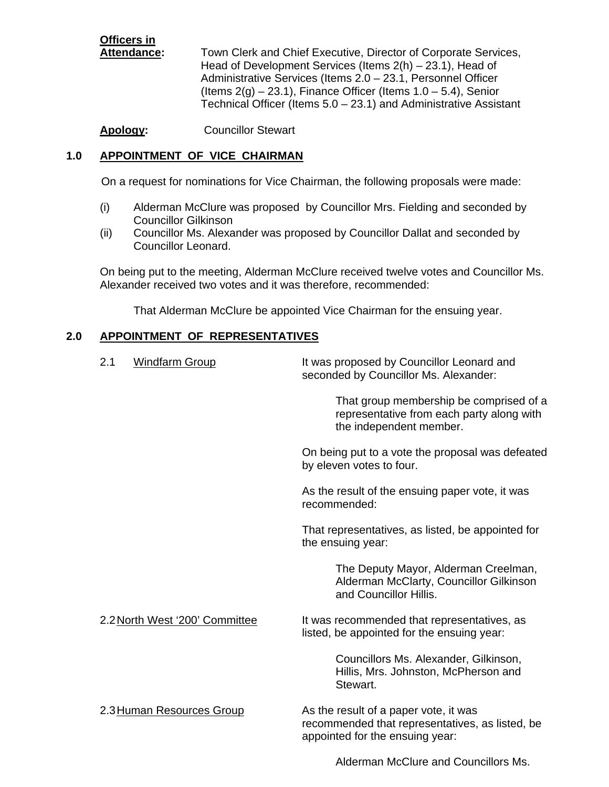**Officers in**

Attendance: Town Clerk and Chief Executive, Director of Corporate Services, Head of Development Services (Items 2(h) – 23.1), Head of Administrative Services (Items 2.0 – 23.1, Personnel Officer (Items  $2(q) - 23.1$ ), Finance Officer (Items  $1.0 - 5.4$ ), Senior Technical Officer (Items 5.0 – 23.1) and Administrative Assistant

**Apology:** Councillor Stewart

## **1.0 APPOINTMENT OF VICE CHAIRMAN**

On a request for nominations for Vice Chairman, the following proposals were made:

- (i) Alderman McClure was proposed by Councillor Mrs. Fielding and seconded by Councillor Gilkinson
- (ii) Councillor Ms. Alexander was proposed by Councillor Dallat and seconded by Councillor Leonard.

On being put to the meeting, Alderman McClure received twelve votes and Councillor Ms. Alexander received two votes and it was therefore, recommended:

That Alderman McClure be appointed Vice Chairman for the ensuing year.

#### **2.0 APPOINTMENT OF REPRESENTATIVES**

| 2.1<br><b>Windfarm Group</b>   | It was proposed by Councillor Leonard and<br>seconded by Councillor Ms. Alexander:                                          |
|--------------------------------|-----------------------------------------------------------------------------------------------------------------------------|
|                                | That group membership be comprised of a<br>representative from each party along with<br>the independent member.             |
|                                | On being put to a vote the proposal was defeated<br>by eleven votes to four.                                                |
|                                | As the result of the ensuing paper vote, it was<br>recommended:                                                             |
|                                | That representatives, as listed, be appointed for<br>the ensuing year:                                                      |
|                                | The Deputy Mayor, Alderman Creelman,<br>Alderman McClarty, Councillor Gilkinson<br>and Councillor Hillis.                   |
| 2.2 North West '200' Committee | It was recommended that representatives, as<br>listed, be appointed for the ensuing year:                                   |
|                                | Councillors Ms. Alexander, Gilkinson,<br>Hillis, Mrs. Johnston, McPherson and<br>Stewart.                                   |
| 2.3 Human Resources Group      | As the result of a paper vote, it was<br>recommended that representatives, as listed, be<br>appointed for the ensuing year: |
|                                | Alderman McClure and Councillors Ms.                                                                                        |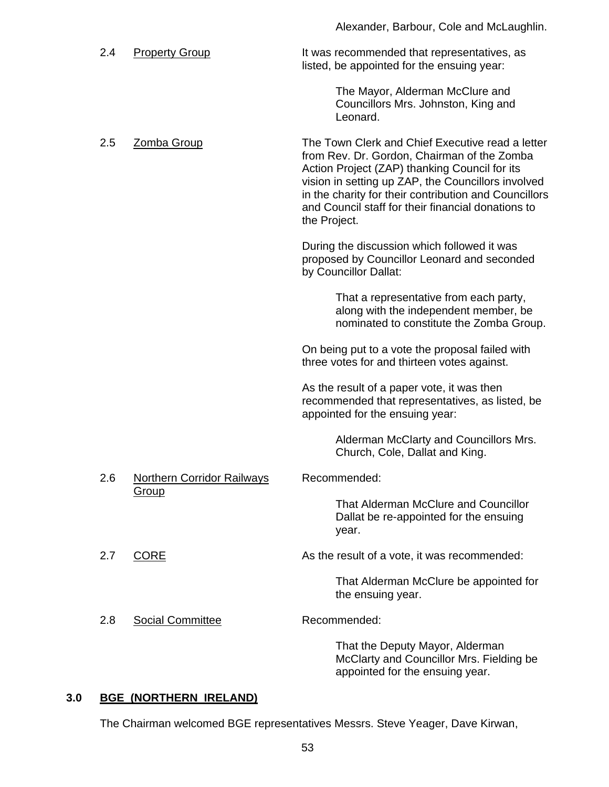| 2.4 | <b>Property Group</b>                      | It was recommended that representatives, as<br>listed, be appointed for the ensuing year:                                                                                                                                                                                                                                             |
|-----|--------------------------------------------|---------------------------------------------------------------------------------------------------------------------------------------------------------------------------------------------------------------------------------------------------------------------------------------------------------------------------------------|
|     |                                            | The Mayor, Alderman McClure and<br>Councillors Mrs. Johnston, King and<br>Leonard.                                                                                                                                                                                                                                                    |
| 2.5 | Zomba Group                                | The Town Clerk and Chief Executive read a letter<br>from Rev. Dr. Gordon, Chairman of the Zomba<br>Action Project (ZAP) thanking Council for its<br>vision in setting up ZAP, the Councillors involved<br>in the charity for their contribution and Councillors<br>and Council staff for their financial donations to<br>the Project. |
|     |                                            | During the discussion which followed it was<br>proposed by Councillor Leonard and seconded<br>by Councillor Dallat:                                                                                                                                                                                                                   |
|     |                                            | That a representative from each party,<br>along with the independent member, be<br>nominated to constitute the Zomba Group.                                                                                                                                                                                                           |
|     |                                            | On being put to a vote the proposal failed with<br>three votes for and thirteen votes against.                                                                                                                                                                                                                                        |
|     |                                            | As the result of a paper vote, it was then<br>recommended that representatives, as listed, be<br>appointed for the ensuing year:                                                                                                                                                                                                      |
|     |                                            | Alderman McClarty and Councillors Mrs.<br>Church, Cole, Dallat and King.                                                                                                                                                                                                                                                              |
| 2.6 | Northern Corridor Railways<br><b>Group</b> | Recommended:                                                                                                                                                                                                                                                                                                                          |
|     |                                            | That Alderman McClure and Councillor<br>Dallat be re-appointed for the ensuing<br>year.                                                                                                                                                                                                                                               |
| 2.7 | <b>CORE</b>                                | As the result of a vote, it was recommended:                                                                                                                                                                                                                                                                                          |
|     |                                            | That Alderman McClure be appointed for<br>the ensuing year.                                                                                                                                                                                                                                                                           |
| 2.8 | <b>Social Committee</b>                    | Recommended:                                                                                                                                                                                                                                                                                                                          |
|     |                                            | That the Deputy Mayor, Alderman<br>McClarty and Councillor Mrs. Fielding be<br>appointed for the ensuing year.                                                                                                                                                                                                                        |

Alexander, Barbour, Cole and McLaughlin.

## **3.0 BGE (NORTHERN IRELAND)**

The Chairman welcomed BGE representatives Messrs. Steve Yeager, Dave Kirwan,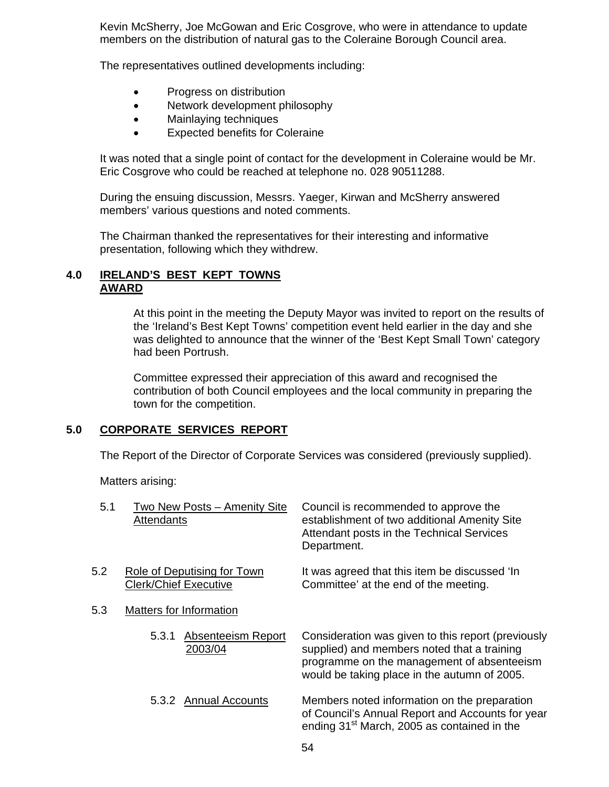Kevin McSherry, Joe McGowan and Eric Cosgrove, who were in attendance to update members on the distribution of natural gas to the Coleraine Borough Council area.

The representatives outlined developments including:

- Progress on distribution
- Network development philosophy
- Mainlaying techniques
- Expected benefits for Coleraine

 It was noted that a single point of contact for the development in Coleraine would be Mr. Eric Cosgrove who could be reached at telephone no. 028 90511288.

 During the ensuing discussion, Messrs. Yaeger, Kirwan and McSherry answered members' various questions and noted comments.

 The Chairman thanked the representatives for their interesting and informative presentation, following which they withdrew.

#### **4.0 IRELAND'S BEST KEPT TOWNS AWARD**

 At this point in the meeting the Deputy Mayor was invited to report on the results of the 'Ireland's Best Kept Towns' competition event held earlier in the day and she was delighted to announce that the winner of the 'Best Kept Small Town' category had been Portrush.

 Committee expressed their appreciation of this award and recognised the contribution of both Council employees and the local community in preparing the town for the competition.

#### **5.0 CORPORATE SERVICES REPORT**

The Report of the Director of Corporate Services was considered (previously supplied).

Matters arising:

| 5.1 | Two New Posts - Amenity Site<br><b>Attendants</b>           | Council is recommended to approve the<br>establishment of two additional Amenity Site<br>Attendant posts in the Technical Services<br>Department.                                               |
|-----|-------------------------------------------------------------|-------------------------------------------------------------------------------------------------------------------------------------------------------------------------------------------------|
| 5.2 | Role of Deputising for Town<br><b>Clerk/Chief Executive</b> | It was agreed that this item be discussed 'In<br>Committee' at the end of the meeting.                                                                                                          |
| 5.3 | Matters for Information                                     |                                                                                                                                                                                                 |
|     | Absenteeism Report<br>5.3.1<br>2003/04                      | Consideration was given to this report (previously<br>supplied) and members noted that a training<br>programme on the management of absenteeism<br>would be taking place in the autumn of 2005. |
|     | 5.3.2 Annual Accounts                                       | Members noted information on the preparation<br>of Council's Annual Report and Accounts for year<br>ending 31 <sup>st</sup> March, 2005 as contained in the                                     |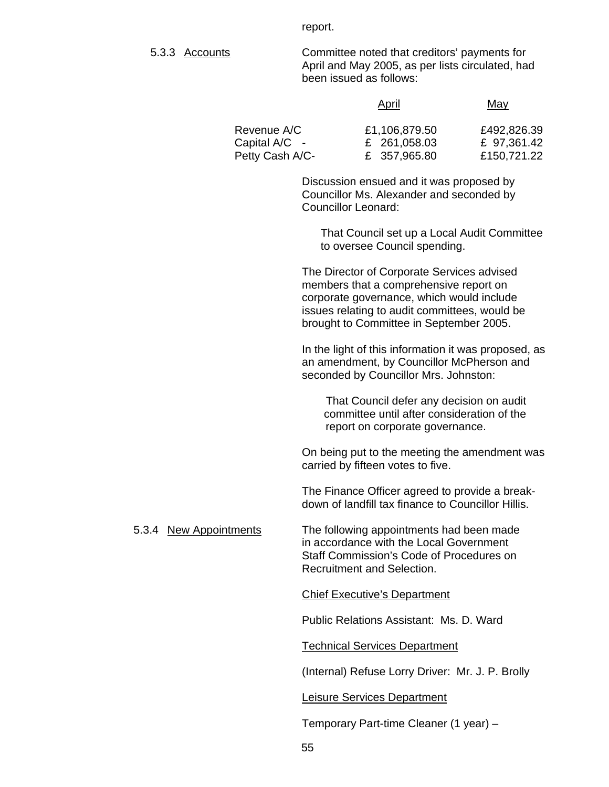report.

5.3.3 Accounts Committee noted that creditors' payments for April and May 2005, as per lists circulated, had been issued as follows:

|                              | April                         | May                        |
|------------------------------|-------------------------------|----------------------------|
| Revenue A/C<br>Capital A/C - | £1,106,879.50<br>£ 261,058.03 | £492,826.39<br>£ 97,361.42 |
| Petty Cash A/C-              | £ 357,965.80                  | £150,721.22                |

 Discussion ensued and it was proposed by Councillor Ms. Alexander and seconded by Councillor Leonard:

 That Council set up a Local Audit Committee to oversee Council spending.

 The Director of Corporate Services advised members that a comprehensive report on corporate governance, which would include issues relating to audit committees, would be brought to Committee in September 2005.

 In the light of this information it was proposed, as an amendment, by Councillor McPherson and seconded by Councillor Mrs. Johnston:

 That Council defer any decision on audit committee until after consideration of the report on corporate governance.

 On being put to the meeting the amendment was carried by fifteen votes to five.

 The Finance Officer agreed to provide a break down of landfill tax finance to Councillor Hillis.

5.3.4 New Appointments The following appointments had been made in accordance with the Local Government Staff Commission's Code of Procedures on Recruitment and Selection.

#### Chief Executive's Department

Public Relations Assistant: Ms. D. Ward

Technical Services Department

(Internal) Refuse Lorry Driver: Mr. J. P. Brolly

#### Leisure Services Department

Temporary Part-time Cleaner (1 year) –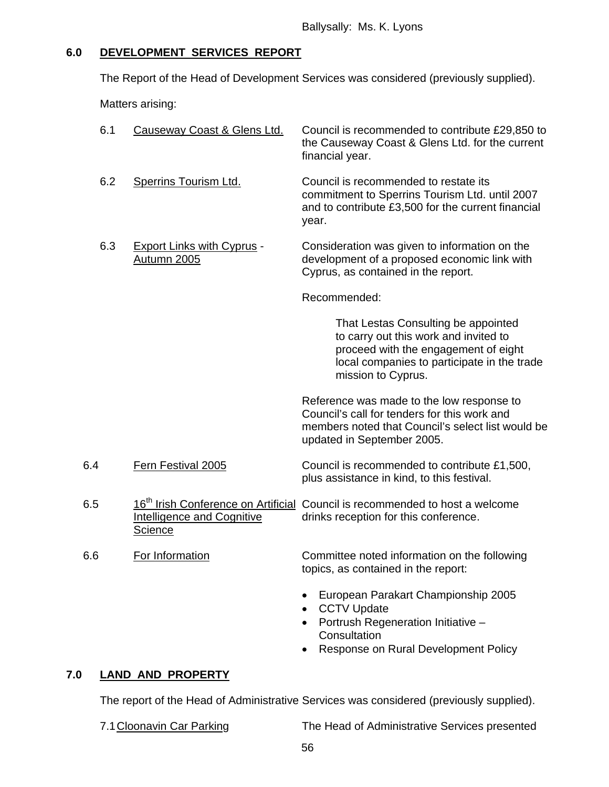## **6.0 DEVELOPMENT SERVICES REPORT**

The Report of the Head of Development Services was considered (previously supplied).

Matters arising:

| 6.1 | Causeway Coast & Glens Ltd.                         | Council is recommended to contribute £29,850 to<br>the Causeway Coast & Glens Ltd. for the current<br>financial year.                                                                     |
|-----|-----------------------------------------------------|-------------------------------------------------------------------------------------------------------------------------------------------------------------------------------------------|
| 6.2 | <b>Sperrins Tourism Ltd.</b>                        | Council is recommended to restate its<br>commitment to Sperrins Tourism Ltd. until 2007<br>and to contribute £3,500 for the current financial<br>year.                                    |
| 6.3 | <b>Export Links with Cyprus -</b><br>Autumn 2005    | Consideration was given to information on the<br>development of a proposed economic link with<br>Cyprus, as contained in the report.                                                      |
|     |                                                     | Recommended:                                                                                                                                                                              |
|     |                                                     | That Lestas Consulting be appointed<br>to carry out this work and invited to<br>proceed with the engagement of eight<br>local companies to participate in the trade<br>mission to Cyprus. |
|     |                                                     | Reference was made to the low response to<br>Council's call for tenders for this work and<br>members noted that Council's select list would be<br>updated in September 2005.              |
| 6.4 | Fern Festival 2005                                  | Council is recommended to contribute £1,500,<br>plus assistance in kind, to this festival.                                                                                                |
| 6.5 | <b>Intelligence and Cognitive</b><br><b>Science</b> | 16 <sup>th</sup> Irish Conference on Artificial Council is recommended to host a welcome<br>drinks reception for this conference.                                                         |
| 6.6 | For Information                                     | Committee noted information on the following<br>topics, as contained in the report:                                                                                                       |
|     |                                                     | European Parakart Championship 2005<br><b>CCTV Update</b><br>$\bullet$                                                                                                                    |

- Portrush Regeneration Initiative **Consultation**
- Response on Rural Development Policy

## **7.0 LAND AND PROPERTY**

The report of the Head of Administrative Services was considered (previously supplied).

7.1 Cloonavin Car Parking The Head of Administrative Services presented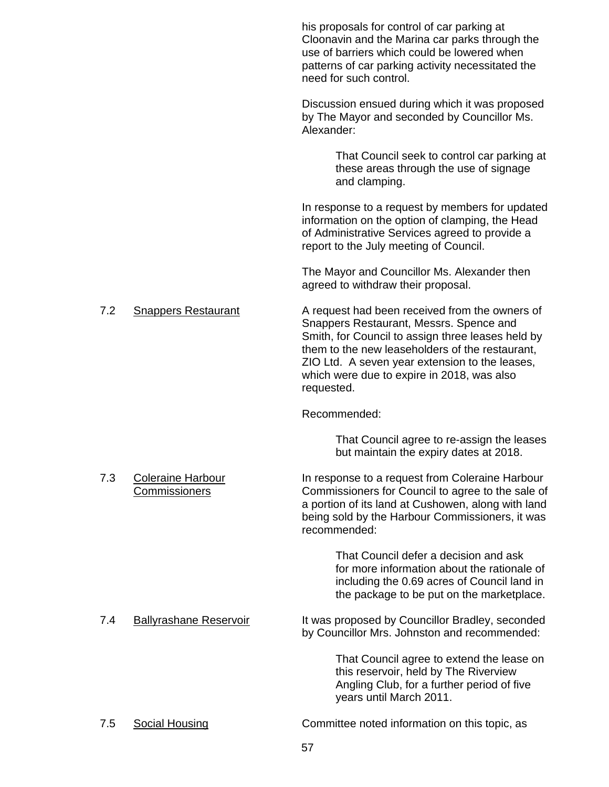|     |                                           | his proposals for control of car parking at<br>Cloonavin and the Marina car parks through the<br>use of barriers which could be lowered when<br>patterns of car parking activity necessitated the<br>need for such control.                                                                                     |
|-----|-------------------------------------------|-----------------------------------------------------------------------------------------------------------------------------------------------------------------------------------------------------------------------------------------------------------------------------------------------------------------|
|     |                                           | Discussion ensued during which it was proposed<br>by The Mayor and seconded by Councillor Ms.<br>Alexander:                                                                                                                                                                                                     |
|     |                                           | That Council seek to control car parking at<br>these areas through the use of signage<br>and clamping.                                                                                                                                                                                                          |
|     |                                           | In response to a request by members for updated<br>information on the option of clamping, the Head<br>of Administrative Services agreed to provide a<br>report to the July meeting of Council.                                                                                                                  |
|     |                                           | The Mayor and Councillor Ms. Alexander then<br>agreed to withdraw their proposal.                                                                                                                                                                                                                               |
| 7.2 | <b>Snappers Restaurant</b>                | A request had been received from the owners of<br>Snappers Restaurant, Messrs. Spence and<br>Smith, for Council to assign three leases held by<br>them to the new leaseholders of the restaurant,<br>ZIO Ltd. A seven year extension to the leases,<br>which were due to expire in 2018, was also<br>requested. |
|     |                                           | Recommended:                                                                                                                                                                                                                                                                                                    |
|     |                                           | That Council agree to re-assign the leases<br>but maintain the expiry dates at 2018.                                                                                                                                                                                                                            |
| 7.3 | <b>Coleraine Harbour</b><br>Commissioners | In response to a request from Coleraine Harbour<br>Commissioners for Council to agree to the sale of<br>a portion of its land at Cushowen, along with land<br>being sold by the Harbour Commissioners, it was<br>recommended:                                                                                   |
|     |                                           | That Council defer a decision and ask<br>for more information about the rationale of<br>including the 0.69 acres of Council land in<br>the package to be put on the marketplace.                                                                                                                                |
| 7.4 | <b>Ballyrashane Reservoir</b>             | It was proposed by Councillor Bradley, seconded<br>by Councillor Mrs. Johnston and recommended:                                                                                                                                                                                                                 |
|     |                                           | That Council agree to extend the lease on<br>this reservoir, held by The Riverview<br>Angling Club, for a further period of five<br>years until March 2011.                                                                                                                                                     |
| 7.5 | <b>Social Housing</b>                     | Committee noted information on this topic, as                                                                                                                                                                                                                                                                   |

57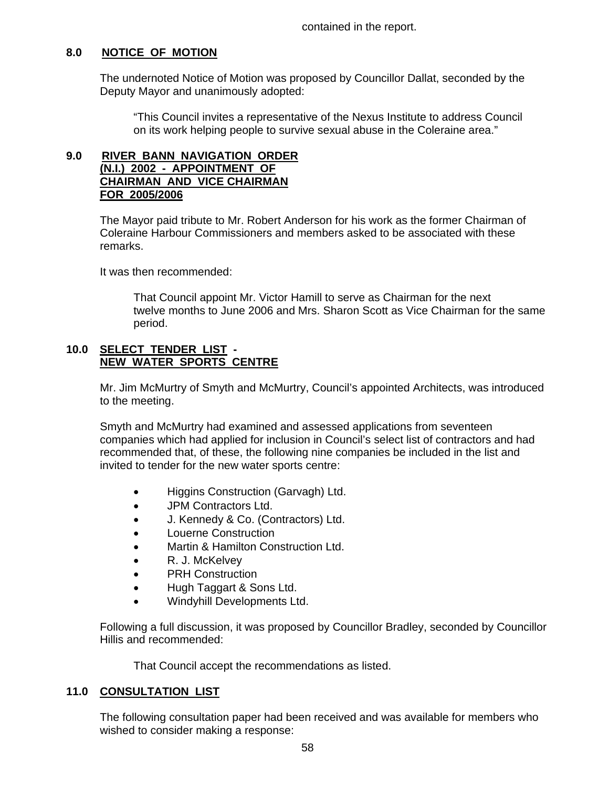contained in the report.

## **8.0 NOTICE OF MOTION**

The undernoted Notice of Motion was proposed by Councillor Dallat, seconded by the Deputy Mayor and unanimously adopted:

"This Council invites a representative of the Nexus Institute to address Council on its work helping people to survive sexual abuse in the Coleraine area."

### **9.0 RIVER BANN NAVIGATION ORDER (N.I.) 2002 - APPOINTMENT OF CHAIRMAN AND VICE CHAIRMAN FOR 2005/2006**

The Mayor paid tribute to Mr. Robert Anderson for his work as the former Chairman of Coleraine Harbour Commissioners and members asked to be associated with these remarks.

It was then recommended:

 That Council appoint Mr. Victor Hamill to serve as Chairman for the next twelve months to June 2006 and Mrs. Sharon Scott as Vice Chairman for the same period.

### **10.0 SELECT TENDER LIST - NEW WATER SPORTS CENTRE**

Mr. Jim McMurtry of Smyth and McMurtry, Council's appointed Architects, was introduced to the meeting.

Smyth and McMurtry had examined and assessed applications from seventeen companies which had applied for inclusion in Council's select list of contractors and had recommended that, of these, the following nine companies be included in the list and invited to tender for the new water sports centre:

- Higgins Construction (Garvagh) Ltd.
- JPM Contractors Ltd.
- J. Kennedy & Co. (Contractors) Ltd.
- Louerne Construction
- Martin & Hamilton Construction Ltd.
- R. J. McKelvey
- PRH Construction
- Hugh Taggart & Sons Ltd.
- Windyhill Developments Ltd.

Following a full discussion, it was proposed by Councillor Bradley, seconded by Councillor Hillis and recommended:

That Council accept the recommendations as listed.

#### **11.0 CONSULTATION LIST**

The following consultation paper had been received and was available for members who wished to consider making a response: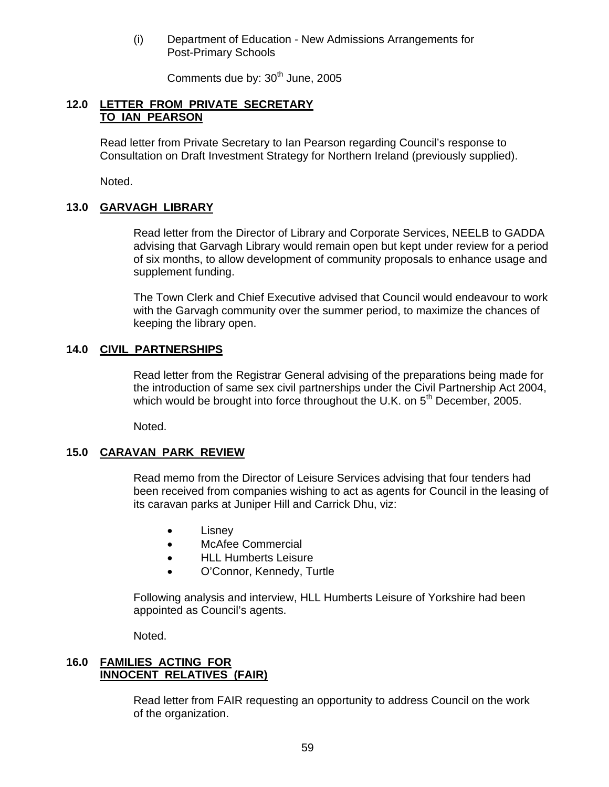(i) Department of Education - New Admissions Arrangements for Post-Primary Schools

Comments due by: 30<sup>th</sup> June, 2005

#### **12.0 LETTER FROM PRIVATE SECRETARY TO IAN PEARSON**

 Read letter from Private Secretary to Ian Pearson regarding Council's response to Consultation on Draft Investment Strategy for Northern Ireland (previously supplied).

Noted.

#### **13.0 GARVAGH LIBRARY**

 Read letter from the Director of Library and Corporate Services, NEELB to GADDA advising that Garvagh Library would remain open but kept under review for a period of six months, to allow development of community proposals to enhance usage and supplement funding.

The Town Clerk and Chief Executive advised that Council would endeavour to work with the Garvagh community over the summer period, to maximize the chances of keeping the library open.

#### **14.0 CIVIL PARTNERSHIPS**

Read letter from the Registrar General advising of the preparations being made for the introduction of same sex civil partnerships under the Civil Partnership Act 2004, which would be brought into force throughout the U.K. on  $5<sup>th</sup>$  December, 2005.

Noted.

#### **15.0 CARAVAN PARK REVIEW**

Read memo from the Director of Leisure Services advising that four tenders had been received from companies wishing to act as agents for Council in the leasing of its caravan parks at Juniper Hill and Carrick Dhu, viz:

- Lisney
- McAfee Commercial
- HLL Humberts Leisure
- O'Connor, Kennedy, Turtle

Following analysis and interview, HLL Humberts Leisure of Yorkshire had been appointed as Council's agents.

Noted.

## **16.0 FAMILIES ACTING FOR INNOCENT RELATIVES (FAIR)**

 Read letter from FAIR requesting an opportunity to address Council on the work of the organization.